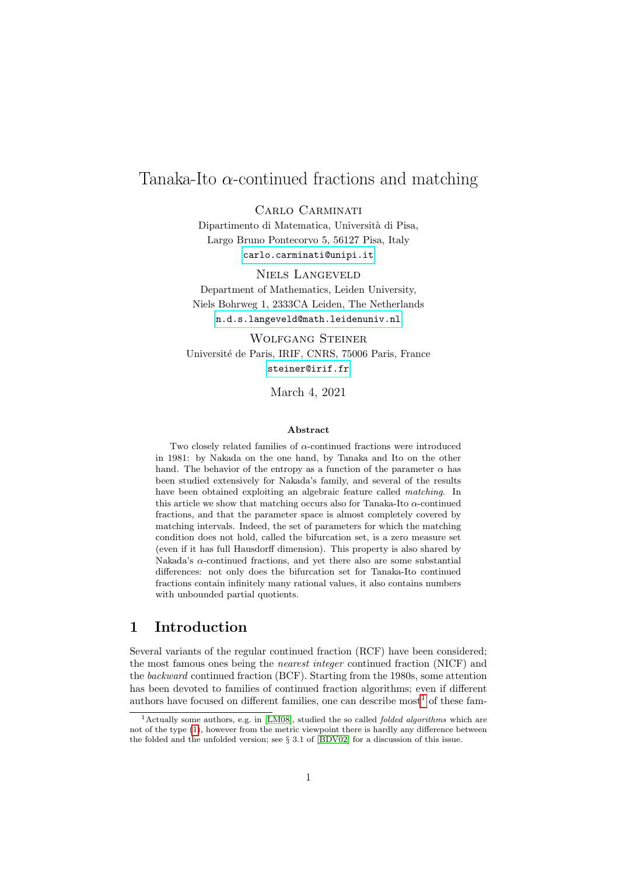# Tanaka-Ito  $\alpha$ -continued fractions and matching

Carlo Carminati

Dipartimento di Matematica, Universit`a di Pisa, Largo Bruno Pontecorvo 5, 56127 Pisa, Italy <carlo.carminati@unipi.it>

Niels Langeveld Department of Mathematics, Leiden University, Niels Bohrweg 1, 2333CA Leiden, The Netherlands <n.d.s.langeveld@math.leidenuniv.nl>

Wolfgang Steiner Université de Paris, IRIF, CNRS, 75006 Paris, France <steiner@irif.fr>

March 4, 2021

#### Abstract

Two closely related families of  $\alpha$ -continued fractions were introduced in 1981: by Nakada on the one hand, by Tanaka and Ito on the other hand. The behavior of the entropy as a function of the parameter  $\alpha$  has been studied extensively for Nakada's family, and several of the results have been obtained exploiting an algebraic feature called *matching*. In this article we show that matching occurs also for Tanaka-Ito  $\alpha$ -continued fractions, and that the parameter space is almost completely covered by matching intervals. Indeed, the set of parameters for which the matching condition does not hold, called the bifurcation set, is a zero measure set (even if it has full Hausdorff dimension). This property is also shared by Nakada's α-continued fractions, and yet there also are some substantial differences: not only does the bifurcation set for Tanaka-Ito continued fractions contain infinitely many rational values, it also contains numbers with unbounded partial quotients.

### 1 Introduction

Several variants of the regular continued fraction (RCF) have been considered; the most famous ones being the nearest integer continued fraction (NICF) and the backward continued fraction (BCF). Starting from the 1980s, some attention has been devoted to families of continued fraction algorithms; even if different authors have focused on different families, one can describe most<sup>[1](#page-0-0)</sup> of these fam-

<span id="page-0-0"></span><sup>&</sup>lt;sup>1</sup> Actually some authors, e.g. in [\[LM08\]](#page-18-0), studied the so called *folded algorithms* which are not of the type [\(1\)](#page-1-0), however from the metric viewpoint there is hardly any difference between the folded and the unfolded version; see § 3.1 of [\[BDV02\]](#page-17-0) for a discussion of this issue.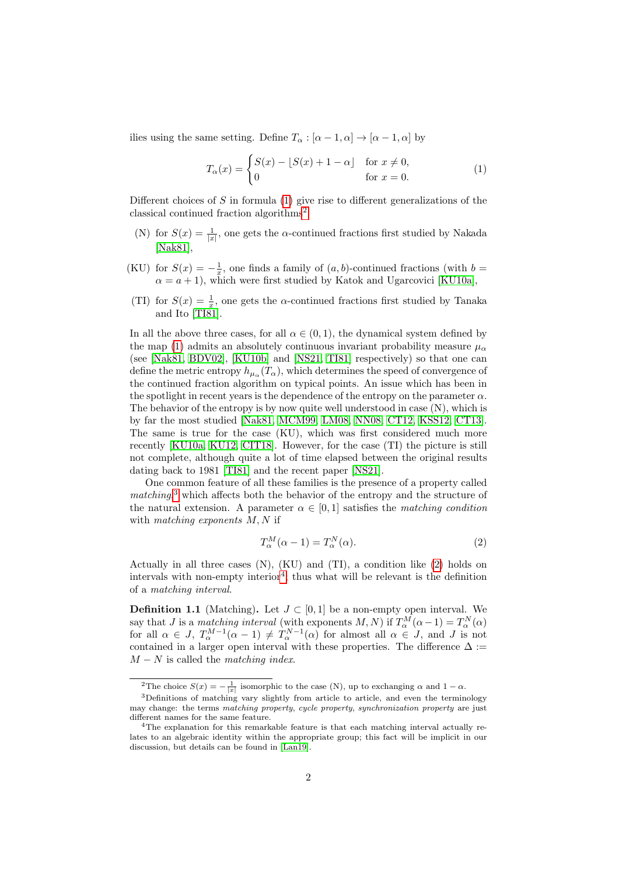ilies using the same setting. Define  $T_{\alpha} : [\alpha - 1, \alpha] \rightarrow [\alpha - 1, \alpha]$  by

<span id="page-1-0"></span>
$$
T_{\alpha}(x) = \begin{cases} S(x) - \lfloor S(x) + 1 - \alpha \rfloor & \text{for } x \neq 0, \\ 0 & \text{for } x = 0. \end{cases}
$$
 (1)

Different choices of S in formula  $(1)$  give rise to different generalizations of the classical continued fraction algorithms<sup>[2](#page-1-1)</sup>

- (N) for  $S(x) = \frac{1}{|x|}$ , one gets the  $\alpha$ -continued fractions first studied by Nakada [\[Nak81\]](#page-18-1),
- (KU) for  $S(x) = -\frac{1}{x}$ , one finds a family of  $(a, b)$ -continued fractions (with  $b =$  $\alpha = a + 1$ , which were first studied by Katok and Ugarcovici [\[KU10a\]](#page-18-2),
- (TI) for  $S(x) = \frac{1}{x}$ , one gets the  $\alpha$ -continued fractions first studied by Tanaka and Ito [\[TI81\]](#page-19-0).

In all the above three cases, for all  $\alpha \in (0,1)$ , the dynamical system defined by the map [\(1\)](#page-1-0) admits an absolutely continuous invariant probability measure  $\mu_{\alpha}$ (see [\[Nak81,](#page-18-1) [BDV02\]](#page-17-0), [\[KU10b\]](#page-18-3) and [\[NS21,](#page-19-1) [TI81\]](#page-19-0) respectively) so that one can define the metric entropy  $h_{\mu_\alpha}(T_\alpha)$ , which determines the speed of convergence of the continued fraction algorithm on typical points. An issue which has been in the spotlight in recent years is the dependence of the entropy on the parameter  $\alpha$ . The behavior of the entropy is by now quite well understood in case (N), which is by far the most studied [\[Nak81,](#page-18-1) [MCM99,](#page-18-4) [LM08,](#page-18-0) [NN08,](#page-19-2) [CT12,](#page-17-1) [KSS12,](#page-18-5) [CT13\]](#page-17-2). The same is true for the case (KU), which was first considered much more recently [\[KU10a,](#page-18-2) [KU12,](#page-18-6) [CIT18\]](#page-17-3). However, for the case (TI) the picture is still not complete, although quite a lot of time elapsed between the original results dating back to 1981 [\[TI81\]](#page-19-0) and the recent paper [\[NS21\]](#page-19-1).

One common feature of all these families is the presence of a property called  $matching$ <sup>[3](#page-1-2)</sup>, which affects both the behavior of the entropy and the structure of the natural extension. A parameter  $\alpha \in [0, 1]$  satisfies the matching condition with *matching exponents*  $M, N$  if

<span id="page-1-3"></span>
$$
T_{\alpha}^{M}(\alpha - 1) = T_{\alpha}^{N}(\alpha). \tag{2}
$$

Actually in all three cases  $(N)$ ,  $(KU)$  and  $(TI)$ , a condition like  $(2)$  holds on intervals with non-empty interior<sup>[4](#page-1-4)</sup>; thus what will be relevant is the definition of a matching interval.

**Definition 1.1** (Matching). Let  $J \subset [0,1]$  be a non-empty open interval. We say that J is a matching interval (with exponents  $M, N$ ) if  $T_\alpha^M(\alpha - 1) = T_\alpha^N(\alpha)$ for all  $\alpha \in J$ ,  $T_{\alpha}^{M-1}(\alpha - 1) \neq T_{\alpha}^{N-1}(\alpha)$  for almost all  $\alpha \in J$ , and J is not contained in a larger open interval with these properties. The difference  $\Delta :=$  $M - N$  is called the matching index.

<span id="page-1-2"></span><span id="page-1-1"></span><sup>&</sup>lt;sup>2</sup>The choice  $S(x) = -\frac{1}{|x|}$  isomorphic to the case (N), up to exchanging  $\alpha$  and  $1 - \alpha$ .

 $3$ Definitions of matching vary slightly from article to article, and even the terminology may change: the terms matching property, cycle property, synchronization property are just different names for the same feature.

<span id="page-1-4"></span><sup>&</sup>lt;sup>4</sup>The explanation for this remarkable feature is that each matching interval actually relates to an algebraic identity within the appropriate group; this fact will be implicit in our discussion, but details can be found in [\[Lan19\]](#page-18-7).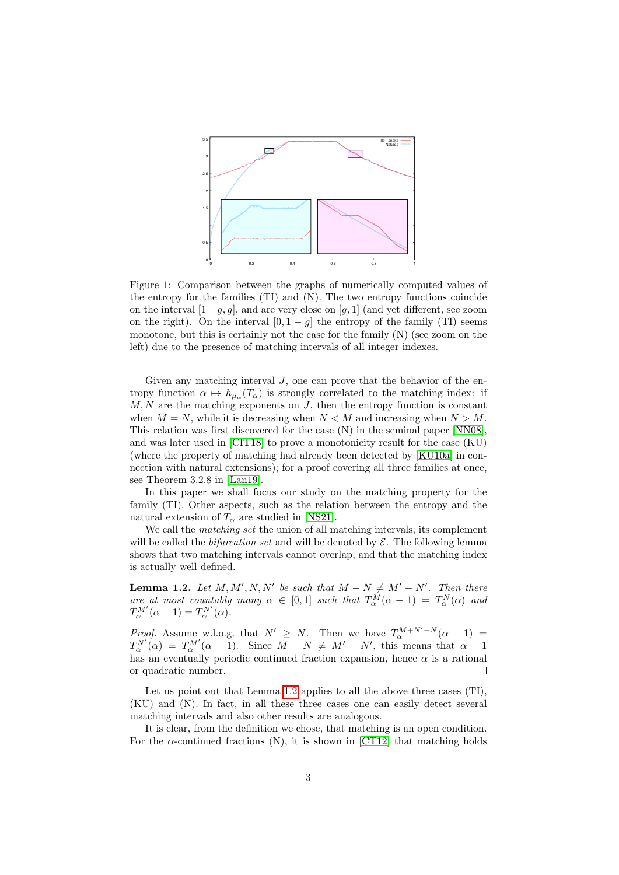

Figure 1: Comparison between the graphs of numerically computed values of the entropy for the families (TI) and (N). The two entropy functions coincide on the interval  $[1-g, g]$ , and are very close on [g, 1] (and yet different, see zoom on the right). On the interval  $[0, 1 - g]$  the entropy of the family (TI) seems monotone, but this is certainly not the case for the family (N) (see zoom on the left) due to the presence of matching intervals of all integer indexes.

Given any matching interval  $J$ , one can prove that the behavior of the entropy function  $\alpha \mapsto h_{\mu_\alpha}(T_\alpha)$  is strongly correlated to the matching index: if  $M, N$  are the matching exponents on  $J$ , then the entropy function is constant when  $M = N$ , while it is decreasing when  $N < M$  and increasing when  $N > M$ . This relation was first discovered for the case (N) in the seminal paper [\[NN08\]](#page-19-2), and was later used in [\[CIT18\]](#page-17-3) to prove a monotonicity result for the case (KU) (where the property of matching had already been detected by [\[KU10a\]](#page-18-2) in connection with natural extensions); for a proof covering all three families at once, see Theorem 3.2.8 in [\[Lan19\]](#page-18-7).

In this paper we shall focus our study on the matching property for the family (TI). Other aspects, such as the relation between the entropy and the natural extension of  $T_{\alpha}$  are studied in [\[NS21\]](#page-19-1).

We call the *matching set* the union of all matching intervals; its complement will be called the *bifurcation set* and will be denoted by  $\mathcal{E}$ . The following lemma shows that two matching intervals cannot overlap, and that the matching index is actually well defined.

<span id="page-2-0"></span>**Lemma 1.2.** Let  $M, M', N, N'$  be such that  $M - N \neq M' - N'$ . Then there are at most countably many  $\alpha \in [0,1]$  such that  $T_{\alpha}^{M}(\alpha-1) = T_{\alpha}^{N}(\alpha)$  and  $T_{\alpha}^{M'}(\alpha - 1) = T_{\alpha}^{N'}(\alpha).$ 

*Proof.* Assume w.l.o.g. that  $N' \geq N$ . Then we have  $T_{\alpha}^{M+N'-N}(\alpha-1)$  $T_{\alpha}^{N'}(\alpha) = T_{\alpha}^{M'}(\alpha - 1)$ . Since  $\overline{M} - N \neq M' - N'$ , this means that  $\alpha - 1$ has an eventually periodic continued fraction expansion, hence  $\alpha$  is a rational or quadratic number. Г

Let us point out that Lemma [1.2](#page-2-0) applies to all the above three cases (TI), (KU) and (N). In fact, in all these three cases one can easily detect several matching intervals and also other results are analogous.

It is clear, from the definition we chose, that matching is an open condition. For the  $\alpha$ -continued fractions (N), it is shown in [\[CT12\]](#page-17-1) that matching holds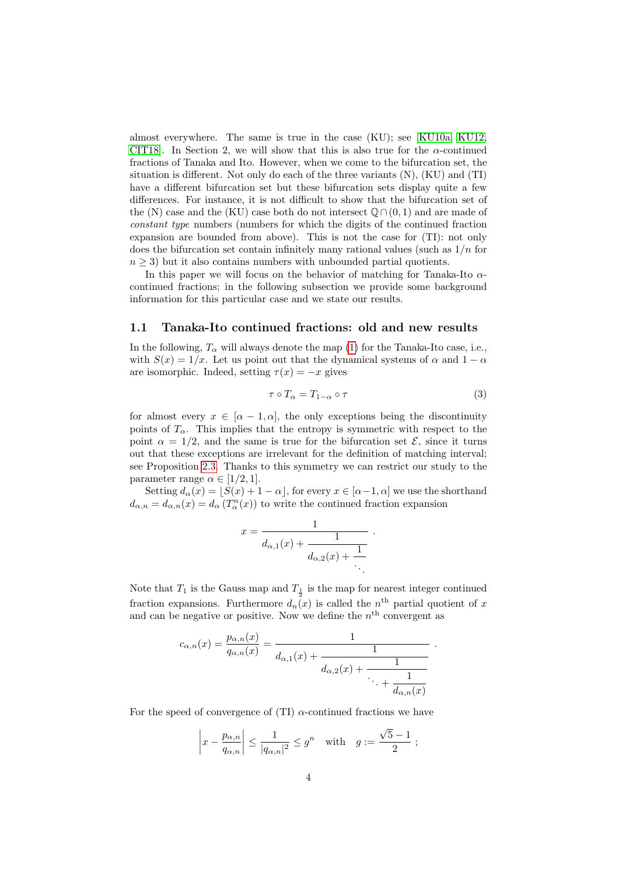almost everywhere. The same is true in the case (KU); see [\[KU10a,](#page-18-2) [KU12,](#page-18-6) CIT18. In Section 2, we will show that this is also true for the  $\alpha$ -continued fractions of Tanaka and Ito. However, when we come to the bifurcation set, the situation is different. Not only do each of the three variants (N), (KU) and (TI) have a different bifurcation set but these bifurcation sets display quite a few differences. For instance, it is not difficult to show that the bifurcation set of the (N) case and the (KU) case both do not intersect  $\mathbb{O}\cap(0,1)$  and are made of constant type numbers (numbers for which the digits of the continued fraction expansion are bounded from above). This is not the case for (TI): not only does the bifurcation set contain infinitely many rational values (such as  $1/n$  for  $n \geq 3$ ) but it also contains numbers with unbounded partial quotients.

In this paper we will focus on the behavior of matching for Tanaka-Ito  $\alpha$ continued fractions; in the following subsection we provide some background information for this particular case and we state our results.

#### <span id="page-3-1"></span>1.1 Tanaka-Ito continued fractions: old and new results

In the following,  $T_{\alpha}$  will always denote the map [\(1\)](#page-1-0) for the Tanaka-Ito case, i.e., with  $S(x) = 1/x$ . Let us point out that the dynamical systems of  $\alpha$  and  $1 - \alpha$ are isomorphic. Indeed, setting  $\tau(x) = -x$  gives

<span id="page-3-0"></span>
$$
\tau \circ T_{\alpha} = T_{1-\alpha} \circ \tau \tag{3}
$$

.

for almost every  $x \in [\alpha - 1, \alpha]$ , the only exceptions being the discontinuity points of  $T_{\alpha}$ . This implies that the entropy is symmetric with respect to the point  $\alpha = 1/2$ , and the same is true for the bifurcation set  $\mathcal{E}$ , since it turns out that these exceptions are irrelevant for the definition of matching interval; see Proposition [2.3.](#page-8-0) Thanks to this symmetry we can restrict our study to the parameter range  $\alpha \in [1/2, 1]$ .

Setting  $d_{\alpha}(x) = [S(x) + 1 - \alpha]$ , for every  $x \in [\alpha - 1, \alpha]$  we use the shorthand  $d_{\alpha,n} = d_{\alpha,n}(x) = d_{\alpha}(T^n_{\alpha}(x))$  to write the continued fraction expansion

$$
x = \frac{1}{d_{\alpha,1}(x) + \frac{1}{d_{\alpha,2}(x) + \frac{1}{\ddots}}}.
$$

Note that  $T_1$  is the Gauss map and  $T_{\frac{1}{n}}$  is the map for nearest integer continued fraction expansions. Furthermore  $d_n(x)$  is called the  $n^{\text{th}}$  partial quotient of x and can be negative or positive. Now we define the  $n<sup>th</sup>$  convergent as

$$
c_{\alpha,n}(x) = \frac{p_{\alpha,n}(x)}{q_{\alpha,n}(x)} = \frac{1}{d_{\alpha,1}(x) + \frac{1}{d_{\alpha,2}(x) + \frac{1}{\ddots + \frac{1}{d_{\alpha,n}(x)}}}}
$$

For the speed of convergence of (TI)  $\alpha$ -continued fractions we have

$$
\left|x - \frac{p_{\alpha,n}}{q_{\alpha,n}}\right| \le \frac{1}{|q_{\alpha,n}|^2} \le g^n \quad \text{with} \quad g := \frac{\sqrt{5} - 1}{2} ;
$$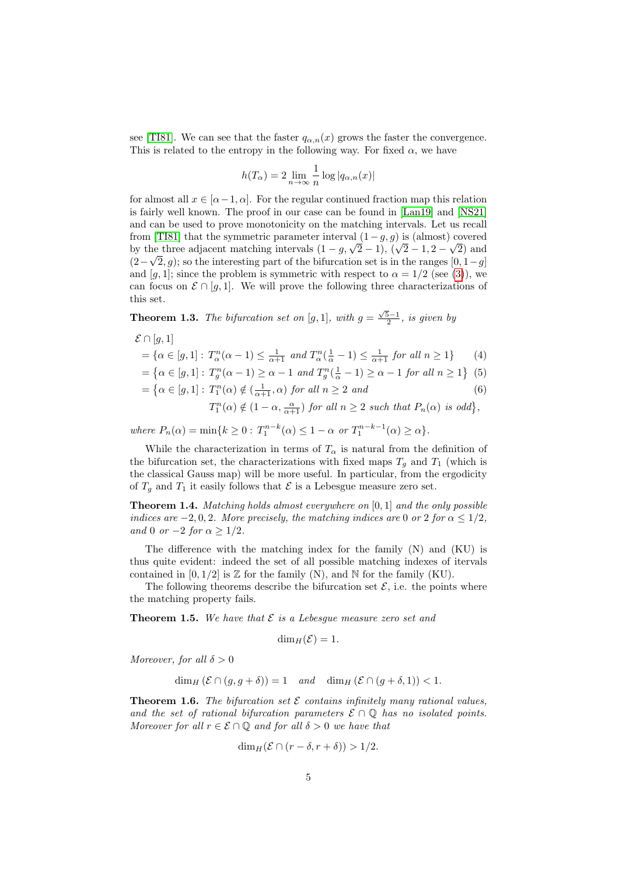see [\[TI81\]](#page-19-0). We can see that the faster  $q_{\alpha,n}(x)$  grows the faster the convergence. This is related to the entropy in the following way. For fixed  $\alpha$ , we have

$$
h(T_{\alpha}) = 2 \lim_{n \to \infty} \frac{1}{n} \log |q_{\alpha,n}(x)|
$$

for almost all  $x \in [\alpha-1, \alpha]$ . For the regular continued fraction map this relation is fairly well known. The proof in our case can be found in [\[Lan19\]](#page-18-7) and [\[NS21\]](#page-19-1) and can be used to prove monotonicity on the matching intervals. Let us recall from [\[TI81\]](#page-19-0) that the symmetric parameter interval  $(1-g, g)$  is (almost) covered from [1181] that the symmetric parameter interval  $(1 - g, g)$  is (almost) covered<br>by the three adjacent matching intervals  $(1 - g, \sqrt{2} - 1), (\sqrt{2} - 1, 2 - \sqrt{2})$  and  $(2-\sqrt{2}, g)$ ; so the interesting part of the bifurcation set is in the ranges  $[0, 1-g]$ and [g, 1]; since the problem is symmetric with respect to  $\alpha = 1/2$  (see [\(3\)](#page-3-0)), we can focus on  $\mathcal{E} \cap [q, 1]$ . We will prove the following three characterizations of this set.

<span id="page-4-0"></span>**Theorem 1.3.** The bifurcation set on [g, 1], with  $g = \frac{\sqrt{5}-1}{2}$ , is given by

$$
\mathcal{E} \cap [g,1]
$$

$$
= \{ \alpha \in [g, 1] : T_{\alpha}^{n}(\alpha - 1) \le \frac{1}{\alpha + 1} \text{ and } T_{\alpha}^{n}(\frac{1}{\alpha} - 1) \le \frac{1}{\alpha + 1} \text{ for all } n \ge 1 \} \tag{4}
$$

$$
= \left\{ \alpha \in [g, 1] : T_g^n(\alpha - 1) \ge \alpha - 1 \text{ and } T_g^n(\frac{1}{\alpha} - 1) \ge \alpha - 1 \text{ for all } n \ge 1 \right\}
$$
(5)

$$
= \left\{ \alpha \in [g, 1] : T_1^n(\alpha) \notin \left( \frac{1}{\alpha + 1}, \alpha \right) \text{ for all } n \ge 2 \text{ and } (6)
$$

<span id="page-4-6"></span><span id="page-4-5"></span><span id="page-4-4"></span> $T_1^n(\alpha) \notin (1-\alpha, \frac{\alpha}{\alpha+1})$  for all  $n \geq 2$  such that  $P_n(\alpha)$  is odd $\},$ 

where  $P_n(\alpha) = \min\{k \ge 0 : T_1^{n-k}(\alpha) \le 1 - \alpha \text{ or } T_1^{n-k-1}(\alpha) \ge \alpha\}.$ 

While the characterization in terms of  $T_{\alpha}$  is natural from the definition of the bifurcation set, the characterizations with fixed maps  $T_q$  and  $T_1$  (which is the classical Gauss map) will be more useful. In particular, from the ergodicity of  $T<sub>g</sub>$  and  $T<sub>1</sub>$  it easily follows that  $\mathcal E$  is a Lebesgue measure zero set.

<span id="page-4-1"></span>**Theorem 1.4.** Matching holds almost everywhere on  $[0,1]$  and the only possible indices are  $-2, 0, 2$ . More precisely, the matching indices are 0 or 2 for  $\alpha \leq 1/2$ , and 0 or  $-2$  for  $\alpha \geq 1/2$ .

The difference with the matching index for the family (N) and (KU) is thus quite evident: indeed the set of all possible matching indexes of itervals contained in  $[0, 1/2]$  is  $\mathbb Z$  for the family (N), and  $\mathbb N$  for the family (KU).

The following theorems describe the bifurcation set  $\mathcal{E}$ , i.e. the points where the matching property fails.

<span id="page-4-2"></span>**Theorem 1.5.** We have that  $\mathcal E$  is a Lebesgue measure zero set and

$$
\dim_H(\mathcal{E})=1.
$$

Moreover, for all  $\delta > 0$ 

 $\dim_H (\mathcal{E} \cap (q, q + \delta)) = 1$  and  $\dim_H (\mathcal{E} \cap (q + \delta, 1)) < 1$ .

<span id="page-4-3"></span>**Theorem 1.6.** The bifurcation set  $\mathcal{E}$  contains infinitely many rational values, and the set of rational bifurcation parameters  $\mathcal{E} \cap \mathbb{Q}$  has no isolated points. Moreover for all  $r \in \mathcal{E} \cap \mathbb{Q}$  and for all  $\delta > 0$  we have that

$$
\dim_H(\mathcal{E} \cap (r - \delta, r + \delta)) > 1/2.
$$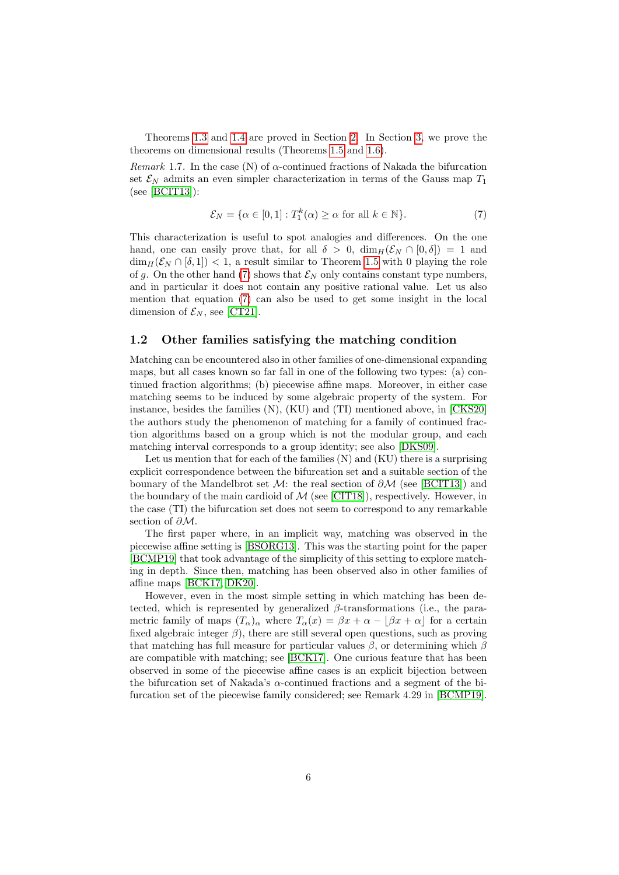Theorems [1.3](#page-4-0) and [1.4](#page-4-1) are proved in Section [2.](#page-6-0) In Section [3,](#page-14-0) we prove the theorems on dimensional results (Theorems [1.5](#page-4-2) and [1.6\)](#page-4-3).

Remark 1.7. In the case (N) of  $\alpha$ -continued fractions of Nakada the bifurcation set  $\mathcal{E}_N$  admits an even simpler characterization in terms of the Gauss map  $T_1$ (see [\[BCIT13\]](#page-17-4)):

<span id="page-5-0"></span>
$$
\mathcal{E}_N = \{ \alpha \in [0, 1] : T_1^k(\alpha) \ge \alpha \text{ for all } k \in \mathbb{N} \}. \tag{7}
$$

This characterization is useful to spot analogies and differences. On the one hand, one can easily prove that, for all  $\delta > 0$ ,  $\dim_H(\mathcal{E}_N \cap [0,\delta]) = 1$  and  $\dim_H(\mathcal{E}_N \cap [\delta,1]) < 1$ , a result similar to Theorem [1.5](#page-4-2) with 0 playing the role of g. On the other hand [\(7\)](#page-5-0) shows that  $\mathcal{E}_N$  only contains constant type numbers, and in particular it does not contain any positive rational value. Let us also mention that equation [\(7\)](#page-5-0) can also be used to get some insight in the local dimension of  $\mathcal{E}_N$ , see [\[CT21\]](#page-17-5).

### 1.2 Other families satisfying the matching condition

Matching can be encountered also in other families of one-dimensional expanding maps, but all cases known so far fall in one of the following two types: (a) continued fraction algorithms; (b) piecewise affine maps. Moreover, in either case matching seems to be induced by some algebraic property of the system. For instance, besides the families (N), (KU) and (TI) mentioned above, in [\[CKS20\]](#page-17-6) the authors study the phenomenon of matching for a family of continued fraction algorithms based on a group which is not the modular group, and each matching interval corresponds to a group identity; see also [\[DKS09\]](#page-18-8).

Let us mention that for each of the families (N) and (KU) there is a surprising explicit correspondence between the bifurcation set and a suitable section of the bounary of the Mandelbrot set  $\mathcal{M}$ : the real section of  $\partial \mathcal{M}$  (see [\[BCIT13\]](#page-17-4)) and the boundary of the main cardioid of  $M$  (see [\[CIT18\]](#page-17-3)), respectively. However, in the case (TI) the bifurcation set does not seem to correspond to any remarkable section of  $\partial M$ .

The first paper where, in an implicit way, matching was observed in the piecewise affine setting is [\[BSORG13\]](#page-17-7). This was the starting point for the paper [\[BCMP19\]](#page-17-8) that took advantage of the simplicity of this setting to explore matching in depth. Since then, matching has been observed also in other families of affine maps [\[BCK17,](#page-17-9) [DK20\]](#page-17-10).

However, even in the most simple setting in which matching has been detected, which is represented by generalized  $\beta$ -transformations (i.e., the parametric family of maps  $(T_{\alpha})_{\alpha}$  where  $T_{\alpha}(x) = \beta x + \alpha - |\beta x + \alpha|$  for a certain fixed algebraic integer  $\beta$ ), there are still several open questions, such as proving that matching has full measure for particular values  $\beta$ , or determining which  $\beta$ are compatible with matching; see [\[BCK17\]](#page-17-9). One curious feature that has been observed in some of the piecewise affine cases is an explicit bijection between the bifurcation set of Nakada's  $\alpha$ -continued fractions and a segment of the bifurcation set of the piecewise family considered; see Remark 4.29 in [\[BCMP19\]](#page-17-8).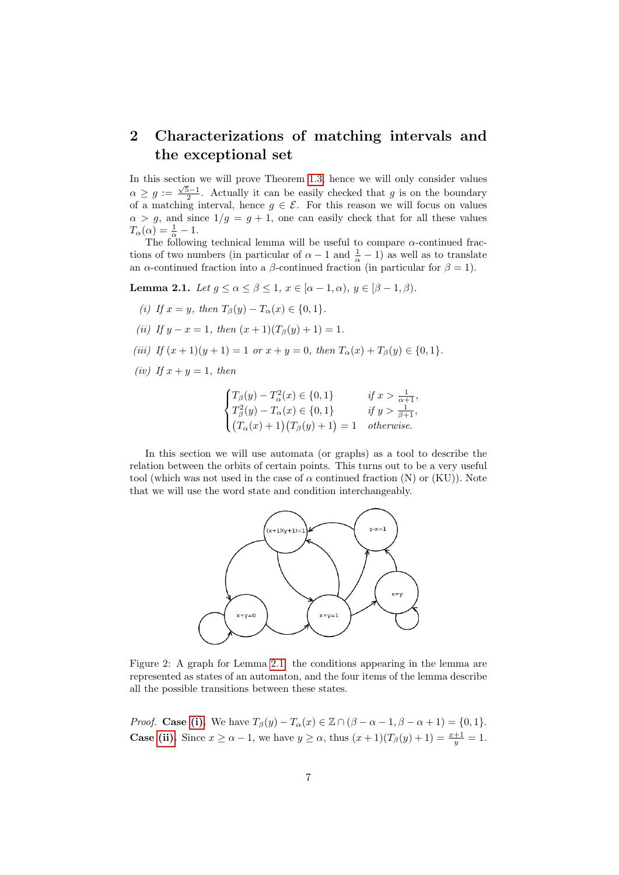# <span id="page-6-0"></span>2 Characterizations of matching intervals and the exceptional set

In this section we will prove Theorem [1.3,](#page-4-0) hence we will only consider values  $\alpha \geq g := \frac{\sqrt{5}-1}{2}$ . Actually it can be easily checked that g is on the boundary of a matching interval, hence  $g \in \mathcal{E}$ . For this reason we will focus on values  $\alpha > g$ , and since  $1/g = g + 1$ , one can easily check that for all these values  $T_\alpha(\alpha) = \frac{1}{\alpha} - 1.$ 

The following technical lemma will be useful to compare  $\alpha$ -continued fractions of two numbers (in particular of  $\alpha - 1$  and  $\frac{1}{\alpha} - 1$ ) as well as to translate an  $\alpha$ -continued fraction into a  $\beta$ -continued fraction (in particular for  $\beta = 1$ ).

<span id="page-6-1"></span>Lemma 2.1. Let  $q \leq \alpha \leq \beta \leq 1$ ,  $x \in [\alpha - 1, \alpha)$ ,  $y \in [\beta - 1, \beta)$ .

- <span id="page-6-2"></span>(i) If  $x = y$ , then  $T_\beta(y) - T_\alpha(x) \in \{0, 1\}.$
- <span id="page-6-3"></span>(ii) If  $y - x = 1$ , then  $(x + 1)(T_8(y) + 1) = 1$ .
- <span id="page-6-4"></span>(iii) If  $(x + 1)(y + 1) = 1$  or  $x + y = 0$ , then  $T_{\alpha}(x) + T_{\beta}(y) \in \{0, 1\}.$
- <span id="page-6-5"></span>(iv) If  $x + y = 1$ , then

$$
\begin{cases}\nT_{\beta}(y) - T_{\alpha}^{2}(x) \in \{0, 1\} & \text{if } x > \frac{1}{\alpha + 1}, \\
T_{\beta}^{2}(y) - T_{\alpha}(x) \in \{0, 1\} & \text{if } y > \frac{1}{\beta + 1}, \\
(T_{\alpha}(x) + 1)(T_{\beta}(y) + 1) = 1 & \text{otherwise}.\n\end{cases}
$$

In this section we will use automata (or graphs) as a tool to describe the relation between the orbits of certain points. This turns out to be a very useful tool (which was not used in the case of  $\alpha$  continued fraction (N) or (KU)). Note that we will use the word state and condition interchangeably.



Figure 2: A graph for Lemma [2.1:](#page-6-1) the conditions appearing in the lemma are represented as states of an automaton, and the four items of the lemma describe all the possible transitions between these states.

*Proof.* Case [\(i\).](#page-6-2) We have  $T_\beta(y) - T_\alpha(x) \in \mathbb{Z} \cap (\beta - \alpha - 1, \beta - \alpha + 1) = \{0, 1\}.$ **Case [\(ii\).](#page-6-3)** Since  $x \ge \alpha - 1$ , we have  $y \ge \alpha$ , thus  $(x + 1)(T_\beta(y) + 1) = \frac{x+1}{y} = 1$ .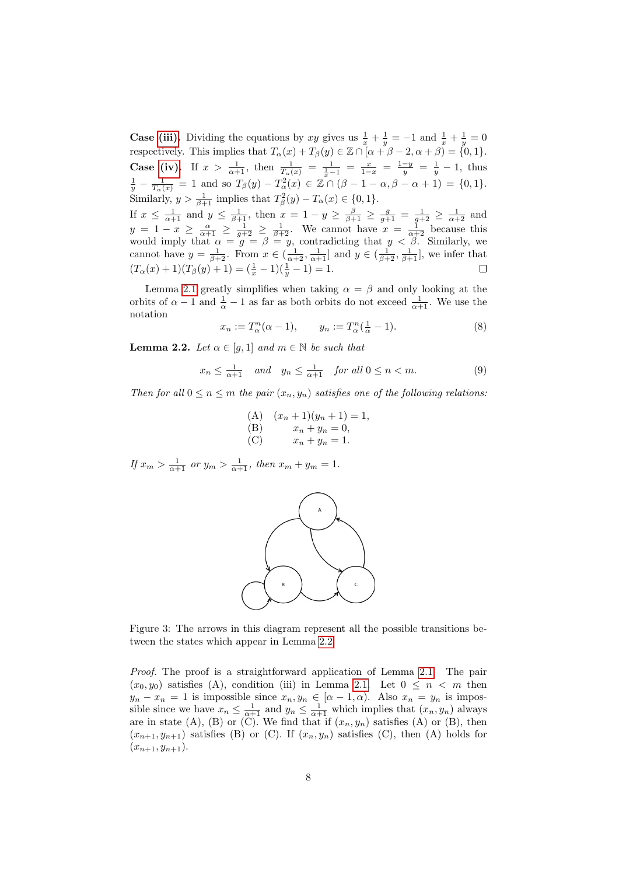**Case [\(iii\).](#page-6-4)** Dividing the equations by xy gives us  $\frac{1}{x} + \frac{1}{y} = -1$  and  $\frac{1}{x} + \frac{1}{y} = 0$ respectively. This implies that  $T_{\alpha}(x) + T_{\beta}(y) \in \mathbb{Z} \cap [\alpha + \beta - 2, \alpha + \beta] = \{0, 1\}.$ **Case [\(iv\).](#page-6-5)** If  $x > \frac{1}{\alpha+1}$ , then  $\frac{1}{T_{\alpha}(x)} = \frac{1}{\frac{1}{x}-1} = \frac{x}{1-x} = \frac{1-y}{y} = \frac{1}{y} - 1$ , thus  $\frac{1}{y} - \frac{1}{T_\alpha(x)} = 1$  and so  $T_\beta(y) - T_\alpha^2(x) \in \mathbb{Z} \cap (\beta - 1 - \alpha, \beta - \alpha + 1) = \{0, 1\}.$ Similarly,  $y > \frac{1}{\beta+1}$  implies that  $T_\beta^2(y) - T_\alpha(x) \in \{0, 1\}.$ If  $x \leq \frac{1}{\alpha+1}$  and  $y \leq \frac{1}{\beta+1}$ , then  $x = 1 - y \geq \frac{\beta}{\beta+1} \geq \frac{g}{g+1} = \frac{1}{g+2} \geq \frac{1}{\alpha+2}$  and  $y = 1 - x \ge \frac{\alpha}{\alpha+1} \ge \frac{1}{g+2} \ge \frac{1}{\beta+2}$ . We cannot have  $x = \frac{1}{\alpha+2}$  because this would imply that  $\alpha = g = \beta = y$ , contradicting that  $y < \beta$ . Similarly, we cannot have  $y = \frac{1}{\beta+2}$ . From  $x \in (\frac{1}{\alpha+2}, \frac{1}{\alpha+1}]$  and  $y \in (\frac{1}{\beta+2}, \frac{1}{\beta+1}]$ , we infer that  $(T_{\alpha}(x) + 1)(T_{\beta}(y) + 1) = (\frac{1}{x} - 1)(\frac{1}{y} - 1) = 1.$ 

Lemma [2.1](#page-6-1) greatly simplifies when taking  $\alpha = \beta$  and only looking at the orbits of  $\alpha - 1$  and  $\frac{1}{\alpha} - 1$  as far as both orbits do not exceed  $\frac{1}{\alpha + 1}$ . We use the notation

<span id="page-7-3"></span>
$$
x_n := T_\alpha^n(\alpha - 1), \qquad y_n := T_\alpha^n(\frac{1}{\alpha} - 1). \tag{8}
$$

<span id="page-7-0"></span>**Lemma 2.2.** Let  $\alpha \in [q, 1]$  and  $m \in \mathbb{N}$  be such that

<span id="page-7-1"></span>
$$
x_n \le \frac{1}{\alpha+1} \quad \text{and} \quad y_n \le \frac{1}{\alpha+1} \quad \text{for all } 0 \le n < m. \tag{9}
$$

Then for all  $0 \le n \le m$  the pair  $(x_n, y_n)$  satisfies one of the following relations:

(A) 
$$
(x_n + 1)(y_n + 1) = 1
$$
,  
\n(B)  $x_n + y_n = 0$ ,  
\n(C)  $x_n + y_n = 1$ .

If  $x_m > \frac{1}{\alpha+1}$  or  $y_m > \frac{1}{\alpha+1}$ , then  $x_m + y_m = 1$ .



<span id="page-7-2"></span>Figure 3: The arrows in this diagram represent all the possible transitions between the states which appear in Lemma [2.2.](#page-7-0)

Proof. The proof is a straightforward application of Lemma [2.1.](#page-6-1) The pair  $(x_0, y_0)$  satisfies (A), condition (iii) in Lemma [2.1.](#page-6-1) Let  $0 \leq n \leq m$  then  $y_n - x_n = 1$  is impossible since  $x_n, y_n \in [\alpha - 1, \alpha)$ . Also  $x_n = y_n$  is impossible since we have  $x_n \leq \frac{1}{\alpha+1}$  and  $y_n \leq \frac{1}{\alpha+1}$  which implies that  $(x_n, y_n)$  always are in state (A), (B) or (C). We find that if  $(x_n, y_n)$  satisfies (A) or (B), then  $(x_{n+1}, y_{n+1})$  satisfies (B) or (C). If  $(x_n, y_n)$  satisfies (C), then (A) holds for  $(x_{n+1}, y_{n+1}).$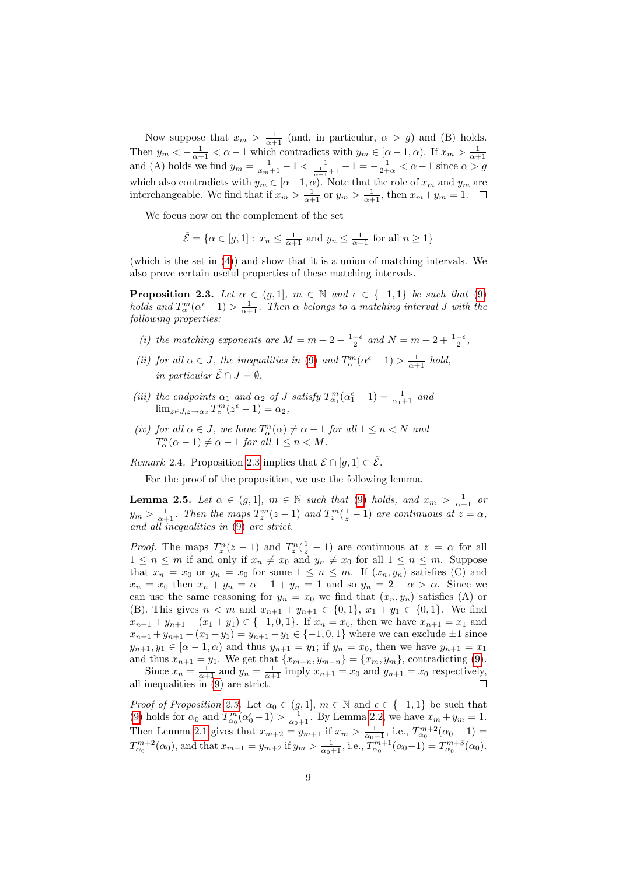Now suppose that  $x_m > \frac{1}{\alpha+1}$  (and, in particular,  $\alpha > g$ ) and (B) holds. Then  $y_m < -\frac{1}{\alpha+1} < \alpha - 1$  which contradicts with  $y_m \in [\alpha - 1, \alpha)$ . If  $x_m > \frac{1}{\alpha+1}$ <br>and (A) holds we find  $y_m = \frac{1}{x_m+1} - 1 < \frac{1}{\frac{1}{\alpha+1}+1} - 1 = -\frac{1}{2+\alpha} < \alpha - 1$  since  $\alpha > g$ which also contradicts with  $y_m \in [\alpha-1, \alpha)$ . Note that the role of  $x_m$  and  $y_m$  are interchangeable. We find that if  $x_m > \frac{1}{\alpha+1}$  or  $y_m > \frac{1}{\alpha+1}$ , then  $x_m + y_m = 1$ .

We focus now on the complement of the set

$$
\tilde{\mathcal{E}} = \{ \alpha \in [g, 1] : x_n \le \frac{1}{\alpha + 1} \text{ and } y_n \le \frac{1}{\alpha + 1} \text{ for all } n \ge 1 \}
$$

(which is the set in [\(4\)](#page-4-4)) and show that it is a union of matching intervals. We also prove certain useful properties of these matching intervals.

<span id="page-8-0"></span>**Proposition 2.3.** Let  $\alpha \in (g, 1]$ ,  $m \in \mathbb{N}$  and  $\epsilon \in \{-1, 1\}$  be such that [\(9\)](#page-7-1) holds and  $T_\alpha^m(\alpha^{\epsilon}-1) > \frac{1}{\alpha+1}$ . Then  $\alpha$  belongs to a matching interval J with the following properties:

- (i) the matching exponents are  $M = m + 2 \frac{1-\epsilon}{2}$  and  $N = m + 2 + \frac{1-\epsilon}{2}$ ,
- (ii) for all  $\alpha \in J$ , the inequalities in [\(9\)](#page-7-1) and  $T_\alpha^m(\alpha^{\epsilon}-1) > \frac{1}{\alpha+1}$  hold, in particular  $\tilde{\mathcal{E}} \cap J = \emptyset$ .
- (iii) the endpoints  $\alpha_1$  and  $\alpha_2$  of J satisfy  $T_{\alpha_1}^m(\alpha_1^{\epsilon}-1) = \frac{1}{\alpha_1+1}$  and  $\lim_{z \in J, z \to \alpha_2} T_z^m(z^{\epsilon} - 1) = \alpha_2,$
- (iv) for all  $\alpha \in J$ , we have  $T_\alpha^n(\alpha) \neq \alpha 1$  for all  $1 \leq n < N$  and  $T_\alpha^n(\alpha - 1) \neq \alpha - 1$  for all  $1 \leq n < M$ .

Remark 2.4. Proposition [2.3](#page-8-0) implies that  $\mathcal{E} \cap [q, 1] \subset \tilde{\mathcal{E}}$ .

For the proof of the proposition, we use the following lemma.

<span id="page-8-1"></span>**Lemma 2.5.** Let  $\alpha \in (g,1]$ ,  $m \in \mathbb{N}$  such that [\(9\)](#page-7-1) holds, and  $x_m > \frac{1}{\alpha+1}$  or  $y_m > \frac{1}{\alpha+1}$ . Then the maps  $T_z^m(z-1)$  and  $T_z^m(\frac{1}{z}-1)$  are continuous at  $z = \alpha$ , and all inequalities in [\(9\)](#page-7-1) are strict.

*Proof.* The maps  $T_z^n(z-1)$  and  $T_z^n(\frac{1}{z}-1)$  are continuous at  $z = \alpha$  for all  $1 \leq n \leq m$  if and only if  $x_n \neq x_0$  and  $y_n \neq x_0$  for all  $1 \leq n \leq m$ . Suppose that  $x_n = x_0$  or  $y_n = x_0$  for some  $1 \leq n \leq m$ . If  $(x_n, y_n)$  satisfies (C) and  $x_n = x_0$  then  $x_n + y_n = \alpha - 1 + y_n = 1$  and so  $y_n = 2 - \alpha > \alpha$ . Since we can use the same reasoning for  $y_n = x_0$  we find that  $(x_n, y_n)$  satisfies (A) or (B). This gives  $n < m$  and  $x_{n+1} + y_{n+1} \in \{0,1\}$ ,  $x_1 + y_1 \in \{0,1\}$ . We find  $x_{n+1} + y_{n+1} - (x_1 + y_1) \in \{-1, 0, 1\}.$  If  $x_n = x_0$ , then we have  $x_{n+1} = x_1$  and  $x_{n+1} + y_{n+1} - (x_1 + y_1) = y_{n+1} - y_1 \in \{-1, 0, 1\}$  where we can exclude  $\pm 1$  since  $y_{n+1}, y_1 \in [\alpha - 1, \alpha)$  and thus  $y_{n+1} = y_1$ ; if  $y_n = x_0$ , then we have  $y_{n+1} = x_1$ and thus  $x_{n+1} = y_1$ . We get that  $\{x_{m-n}, y_{m-n}\} = \{x_m, y_m\}$ , contradicting [\(9\)](#page-7-1).

Since  $x_n = \frac{1}{\alpha+1}$  and  $y_n = \frac{1}{\alpha+1}$  imply  $x_{n+1} = x_0$  and  $y_{n+1} = x_0$  respectively, all inequalities in [\(9\)](#page-7-1) are strict.

Proof of Proposition [2.3.](#page-8-0) Let  $\alpha_0 \in (g,1], m \in \mathbb{N}$  and  $\epsilon \in \{-1,1\}$  be such that [\(9\)](#page-7-1) holds for  $\alpha_0$  and  $T_{\alpha_0}^m(\alpha_0^{\epsilon}-1) > \frac{1}{\alpha_0+1}$ . By Lemma [2.2,](#page-7-0) we have  $x_m + y_m = 1$ . Then Lemma [2.1](#page-6-1) gives that  $x_{m+2} = y_{m+1}$  if  $x_m > \frac{1}{\alpha_0+1}$ , i.e.,  $T_{\alpha_0}^{m+2}(\alpha_0 - 1) =$  $T_{\alpha_0}^{m+2}(\alpha_0)$ , and that  $x_{m+1} = y_{m+2}$  if  $y_m > \frac{1}{\alpha_0+1}$ , i.e.,  $T_{\alpha_0}^{m+1}(\alpha_0-1) = T_{\alpha_0}^{m+3}(\alpha_0)$ .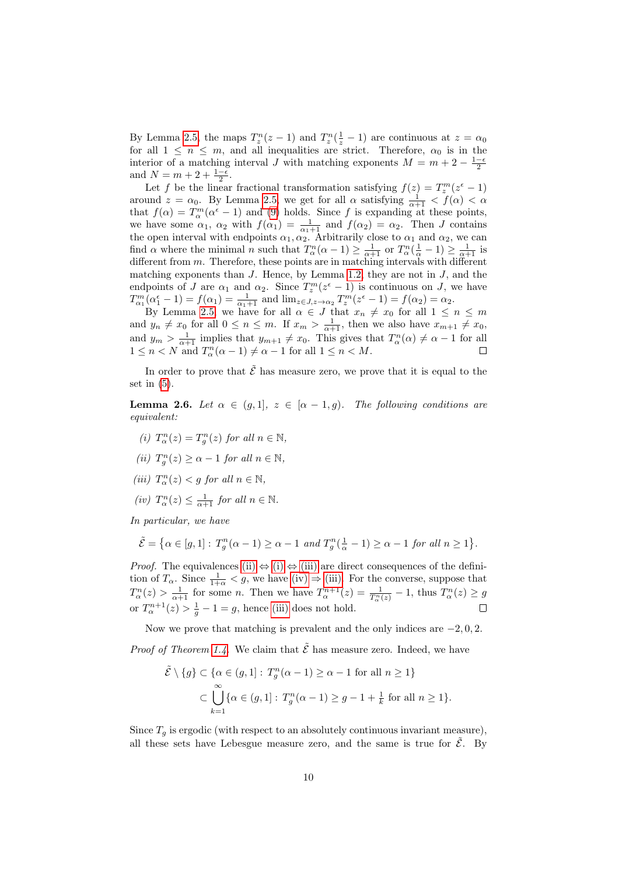By Lemma [2.5,](#page-8-1) the maps  $T_z^n(z-1)$  and  $T_z^n(\frac{1}{z}-1)$  are continuous at  $z = \alpha_0$ for all  $1 \leq n \leq m$ , and all inequalities are strict. Therefore,  $\alpha_0$  is in the interior of a matching interval J with matching exponents  $M = m + 2 - \frac{1-\epsilon}{2}$ and  $N = m + 2 + \frac{1-\epsilon}{2}$ .

Let f be the linear fractional transformation satisfying  $f(z) = T_z^m(z^{\epsilon} - 1)$ around  $z = \alpha_0$ . By Lemma [2.5,](#page-8-1) we get for all  $\alpha$  satisfying  $\frac{1}{\alpha+1} < f(\alpha) < \alpha$ that  $f(\alpha) = T_{\alpha}^{m}(\alpha^{\epsilon} - 1)$  and [\(9\)](#page-7-1) holds. Since f is expanding at these points, we have some  $\alpha_1$ ,  $\alpha_2$  with  $f(\alpha_1) = \frac{1}{\alpha_1+1}$  and  $f(\alpha_2) = \alpha_2$ . Then J contains the open interval with endpoints  $\alpha_1, \alpha_2$ . Arbitrarily close to  $\alpha_1$  and  $\alpha_2$ , we can find  $\alpha$  where the minimal n such that  $T_\alpha^n(\alpha-1) \geq \frac{1}{\alpha+1}$  or  $T_\alpha^n(\frac{1}{\alpha}-1) \geq \frac{1}{\alpha+1}$  is different from m. Therefore, these points are in matching intervals with different matching exponents than  $J$ . Hence, by Lemma [1.2,](#page-2-0) they are not in  $J$ , and the endpoints of J are  $\alpha_1$  and  $\alpha_2$ . Since  $T_z^m(z^{\epsilon}-1)$  is continuous on J, we have  $T_{\alpha_1}^m(\alpha_1^{\epsilon}-1) = f(\alpha_1) = \frac{1}{\alpha_1+1}$  and  $\lim_{z \in J, z \to \alpha_2} T_z^m(z^{\epsilon}-1) = f(\alpha_2) = \alpha_2$ .

By Lemma [2.5,](#page-8-1) we have for all  $\alpha \in J$  that  $x_n \neq x_0$  for all  $1 \leq n \leq m$ and  $y_n \neq x_0$  for all  $0 \leq n \leq m$ . If  $x_m > \frac{1}{\alpha+1}$ , then we also have  $x_{m+1} \neq x_0$ , and  $y_m > \frac{1}{\alpha+1}$  implies that  $y_{m+1} \neq x_0$ . This gives that  $T_\alpha^n(\alpha) \neq \alpha - 1$  for all  $1 \leq n < N$  and  $T_\alpha^n(\alpha - 1) \neq \alpha - 1$  for all  $1 \leq n < M$ .

In order to prove that  $\tilde{\mathcal{E}}$  has measure zero, we prove that it is equal to the set in  $(5)$ .

<span id="page-9-4"></span>**Lemma 2.6.** Let  $\alpha \in (g,1], z \in [\alpha-1,g]$ . The following conditions are equivalent:

- <span id="page-9-1"></span>(i)  $T_{\alpha}^{n}(z) = T_{g}^{n}(z)$  for all  $n \in \mathbb{N}$ ,
- <span id="page-9-0"></span>(ii)  $T_g^n(z) \geq \alpha - 1$  for all  $n \in \mathbb{N}$ ,
- <span id="page-9-2"></span>(iii)  $T_\alpha^n(z) < g$  for all  $n \in \mathbb{N}$ ,
- <span id="page-9-3"></span>(iv)  $T_\alpha^n(z) \leq \frac{1}{\alpha+1}$  for all  $n \in \mathbb{N}$ .

In particular, we have

$$
\tilde{\mathcal{E}} = \left\{ \alpha \in [g, 1] : T_g^n(\alpha - 1) \ge \alpha - 1 \text{ and } T_g^n(\frac{1}{\alpha} - 1) \ge \alpha - 1 \text{ for all } n \ge 1 \right\}.
$$

*Proof.* The equivalences [\(ii\)](#page-9-0)  $\Leftrightarrow$  [\(i\)](#page-9-1)  $\Leftrightarrow$  [\(iii\)](#page-9-2) are direct consequences of the definition of  $T_{\alpha}$ . Since  $\frac{1}{1+\alpha} < g$ , we have [\(iv\)](#page-9-3)  $\Rightarrow$  [\(iii\).](#page-9-2) For the converse, suppose that  $T_\alpha^n(z) > \frac{1}{\alpha+1}$  for some *n*. Then we have  $T_\alpha^{n+1}(z) = \frac{1}{T_\alpha^n(z)} - 1$ , thus  $T_\alpha^n(z) \ge g$ or  $T_{\alpha}^{n+1}(z) > \frac{1}{g} - 1 = g$ , hence [\(iii\)](#page-9-2) does not hold.  $\Box$ 

Now we prove that matching is prevalent and the only indices are  $-2, 0, 2$ .

*Proof of Theorem [1.4.](#page-4-1)* We claim that  $\tilde{\mathcal{E}}$  has measure zero. Indeed, we have

$$
\tilde{\mathcal{E}} \setminus \{g\} \subset \{\alpha \in (g, 1]: T_g^n(\alpha - 1) \ge \alpha - 1 \text{ for all } n \ge 1\}
$$
  

$$
\subset \bigcup_{k=1}^{\infty} \{\alpha \in (g, 1]: T_g^n(\alpha - 1) \ge g - 1 + \frac{1}{k} \text{ for all } n \ge 1\}.
$$

Since  $T<sub>g</sub>$  is ergodic (with respect to an absolutely continuous invariant measure), all these sets have Lebesgue measure zero, and the same is true for  $\tilde{\mathcal{E}}$ . By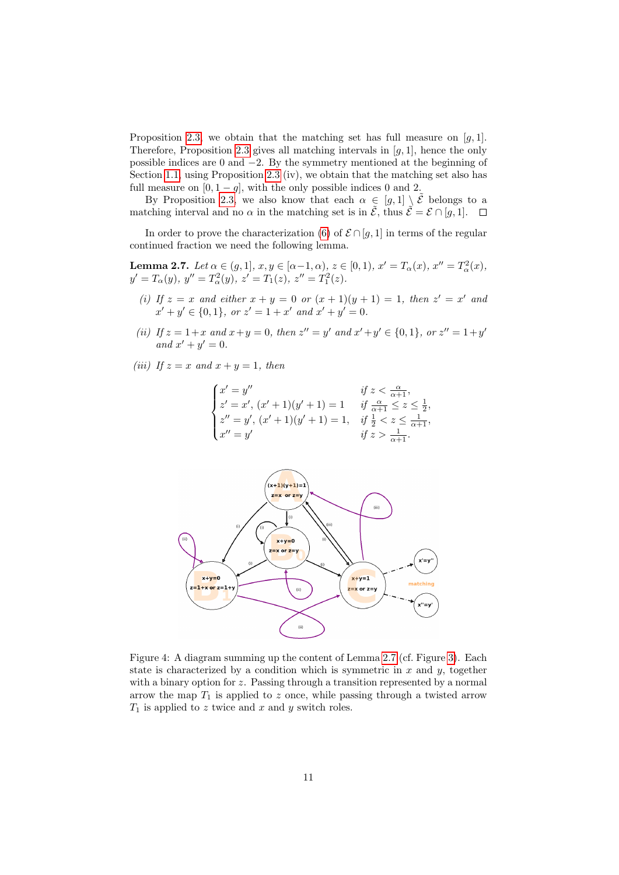Proposition [2.3,](#page-8-0) we obtain that the matching set has full measure on  $[g, 1]$ . Therefore, Proposition [2.3](#page-8-0) gives all matching intervals in  $[g, 1]$ , hence the only possible indices are 0 and −2. By the symmetry mentioned at the beginning of Section [1.1,](#page-3-1) using Proposition [2.3](#page-8-0) (iv), we obtain that the matching set also has full measure on  $[0, 1 - g]$ , with the only possible indices 0 and 2.

By Proposition [2.3,](#page-8-0) we also know that each  $\alpha \in [g,1] \setminus \tilde{\mathcal{E}}$  belongs to a matching interval and no  $\alpha$  in the matching set is in  $\mathcal{E}$ , thus  $\mathcal{E} = \mathcal{E} \cap [g, 1]$ .  $\Box$ 

In order to prove the characterization [\(6\)](#page-4-6) of  $\mathcal{E} \cap [q, 1]$  in terms of the regular continued fraction we need the following lemma.

<span id="page-10-0"></span>**Lemma 2.7.** Let  $\alpha \in (g, 1], x, y \in [\alpha - 1, \alpha), z \in [0, 1), x' = T_{\alpha}(x), x'' = T_{\alpha}^2(x)$ ,  $y' = T_\alpha(y), y'' = T_\alpha^2(y), z' = T_1(z), z'' = T_1^2(z).$ 

- <span id="page-10-1"></span>(i) If  $z = x$  and either  $x + y = 0$  or  $(x + 1)(y + 1) = 1$ , then  $z' = x'$  and  $x' + y' \in \{0, 1\}$ , or  $z' = 1 + x'$  and  $x' + y' = 0$ .
- <span id="page-10-2"></span>(ii) If  $z = 1 + x$  and  $x + y = 0$ , then  $z'' = y'$  and  $x' + y' \in \{0, 1\}$ , or  $z'' = 1 + y'$ and  $x' + y' = 0$ .

<span id="page-10-3"></span>(iii) If  $z = x$  and  $x + y = 1$ , then

$$
\begin{cases} x' = y'' & \text{if } z < \frac{\alpha}{\alpha+1}, \\ z' = x', (x'+1)(y'+1) = 1 & \text{if } \frac{\alpha}{\alpha+1} \leq z \leq \frac{1}{2}, \\ z'' = y', (x'+1)(y'+1) = 1, & \text{if } \frac{1}{2} < z \leq \frac{1}{\alpha+1}, \\ x'' = y' & \text{if } z > \frac{1}{\alpha+1}. \end{cases}
$$



<span id="page-10-4"></span>Figure 4: A diagram summing up the content of Lemma [2.7](#page-10-0) (cf. Figure [3\)](#page-7-2). Each state is characterized by a condition which is symmetric in  $x$  and  $y$ , together with a binary option for  $z$ . Passing through a transition represented by a normal arrow the map  $T_1$  is applied to z once, while passing through a twisted arrow  $T_1$  is applied to z twice and x and y switch roles.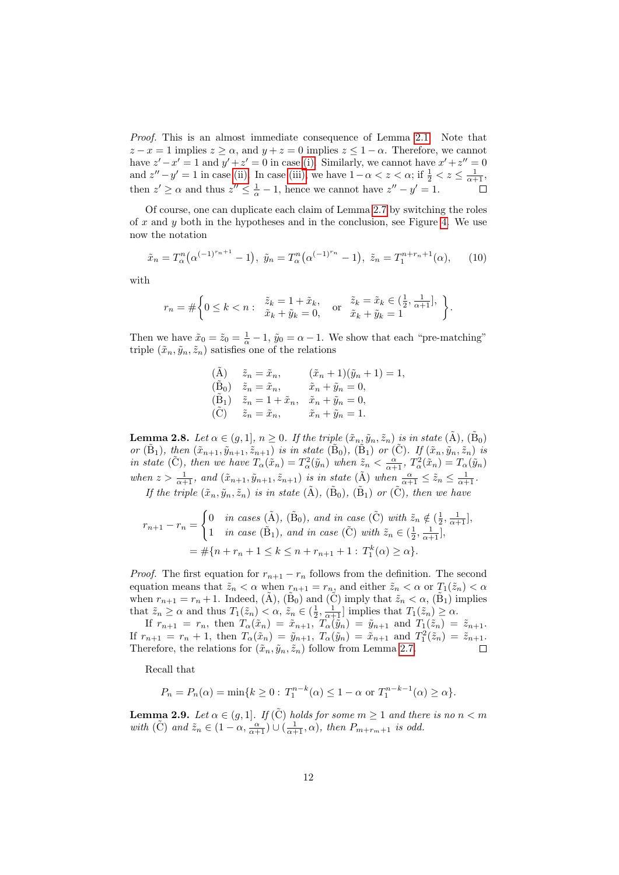Proof. This is an almost immediate consequence of Lemma [2.1.](#page-6-1) Note that  $z - x = 1$  implies  $z \ge \alpha$ , and  $y + z = 0$  implies  $z \le 1 - \alpha$ . Therefore, we cannot have  $z'-x'=1$  and  $y'+z'=0$  in case [\(i\).](#page-10-1) Similarly, we cannot have  $x'+z''=0$ and  $z'' - y' = 1$  in case [\(ii\).](#page-10-2) In case [\(iii\),](#page-10-3) we have  $1 - \alpha < z < \alpha$ ; if  $\frac{1}{2} < z \le \frac{1}{\alpha + 1}$ , then  $z' \ge \alpha$  and thus  $z'' \le \frac{1}{\alpha} - 1$ , hence we cannot have  $z'' - y' = 1$ .  $\Box$ 

Of course, one can duplicate each claim of Lemma [2.7](#page-10-0) by switching the roles of  $x$  and  $y$  both in the hypotheses and in the conclusion, see Figure [4.](#page-10-4) We use now the notation

<span id="page-11-0"></span>
$$
\tilde{x}_n = T_\alpha^n \big( \alpha^{(-1)^{r_n+1}} - 1 \big), \ \tilde{y}_n = T_\alpha^n \big( \alpha^{(-1)^{r_n}} - 1 \big), \ \tilde{z}_n = T_1^{n+r_n+1}(\alpha), \tag{10}
$$

with

$$
r_n = \# \left\{ 0 \le k < n: \begin{array}{ll} \tilde{z}_k = 1 + \tilde{x}_k, \\ \tilde{x}_k + \tilde{y}_k = 0, \end{array} \right. \quad \text{or} \quad \tilde{z}_k = \tilde{x}_k \in \left( \frac{1}{2}, \frac{1}{\alpha + 1} \right], \quad \left\}.
$$

Then we have  $\tilde{x}_0 = \tilde{x}_0 = \frac{1}{\alpha} - 1$ ,  $\tilde{y}_0 = \alpha - 1$ . We show that each "pre-matching" triple  $(\tilde{x}_n, \tilde{y}_n, \tilde{z}_n)$  satisfies one of the relations

$$
\begin{array}{llll} \mbox{$(\tilde{\rm A})$} & \tilde{z}_n = \tilde{x}_n, & \mbox{$(\tilde{x}_n+1)(\tilde{y}_n+1)=1$}, \\ \mbox{$(\tilde{\rm B}_0)$} & \tilde{z}_n = \tilde{x}_n, & \tilde{x}_n + \tilde{y}_n = 0, \\ \mbox{$(\tilde{\rm B}_1)$} & \tilde{z}_n = 1 + \tilde{x}_n, & \tilde{x}_n + \tilde{y}_n = 0, \\ \mbox{$(\tilde{\rm C})$} & \tilde{z}_n = \tilde{x}_n, & \tilde{x}_n + \tilde{y}_n = 1. \end{array}
$$

<span id="page-11-2"></span>**Lemma 2.8.** Let  $\alpha \in (g,1], n \ge 0$ . If the triple  $(\tilde{x}_n, \tilde{y}_n, \tilde{z}_n)$  is in state  $(\tilde{A}), (\tilde{B}_0)$ or  $(\tilde{B}_1)$ , then  $(\tilde{x}_{n+1}, \tilde{y}_{n+1}, \tilde{z}_{n+1})$  is in state  $(\tilde{B}_0)$ ,  $(\tilde{B}_1)$  or  $(\tilde{C})$ . If  $(\tilde{x}_n, \tilde{y}_n, \tilde{z}_n)$  is in state (C), then we have  $T_{\alpha}(\tilde{x}_n) = T_{\alpha}^2(\tilde{y}_n)$  when  $\tilde{z}_n < \frac{\alpha}{\alpha+1}$ ,  $T_{\alpha}^2(\tilde{x}_n) = T_{\alpha}(\tilde{y}_n)$ when  $z > \frac{1}{\alpha+1}$ , and  $(\tilde{x}_{n+1}, \tilde{y}_{n+1}, \tilde{z}_{n+1})$  is in state  $(\tilde{A})$  when  $\frac{\alpha}{\alpha+1} \leq \tilde{z}_n \leq \frac{1}{\alpha+1}$ . If the triple  $(\tilde{x}_n, \tilde{y}_n, \tilde{z}_n)$  is in state  $(\tilde{A}), (\tilde{B}_0), (\tilde{B}_1)$  or  $(\tilde{C}),$  then we have

$$
r_{n+1} - r_n = \begin{cases} 0 & \text{in cases } (\tilde{A}), (\tilde{B}_0), \text{ and in case } (\tilde{C}) \text{ with } \tilde{z}_n \notin (\frac{1}{2}, \frac{1}{\alpha+1}], \\ 1 & \text{in case } (\tilde{B}_1), \text{ and in case } (\tilde{C}) \text{ with } \tilde{z}_n \in (\frac{1}{2}, \frac{1}{\alpha+1}], \\ = \# \{ n + r_n + 1 \le k \le n + r_{n+1} + 1 : T_1^k(\alpha) \ge \alpha \}. \end{cases}
$$

*Proof.* The first equation for  $r_{n+1} - r_n$  follows from the definition. The second equation means that  $\tilde{z}_n < \alpha$  when  $r_{n+1} = r_{n_2}$  and either  $\tilde{z}_n < \alpha$  or  $T_1(\tilde{z}_n) < \alpha$ when  $r_{n+1} = r_n + 1$ . Indeed,  $(\tilde{A})$ ,  $(\tilde{B}_0)$  and  $(\tilde{C})$  imply that  $\tilde{z}_n < \alpha$ ,  $(\tilde{B}_1)$  implies that  $\tilde{z}_n \ge \alpha$  and thus  $T_1(\tilde{z}_n) < \alpha$ ,  $\tilde{z}_n \in (\frac{1}{2}, \frac{1}{\alpha+1}]$  implies that  $T_1(\tilde{z}_n) \ge \alpha$ .

If  $r_{n+1} = r_n$ , then  $T_\alpha(\tilde{x}_n) = \tilde{x}_{n+1}$ ,  $T_\alpha(\tilde{y}_n) = \tilde{y}_{n+1}$  and  $T_1(\tilde{z}_n) = \tilde{z}_{n+1}$ . If  $r_{n+1} = r_n + 1$ , then  $T_\alpha(\tilde{x}_n) = \tilde{y}_{n+1}$ ,  $T_\alpha(\tilde{y}_n) = \tilde{x}_{n+1}$  and  $T_1^2(\tilde{z}_n) = \tilde{z}_{n+1}$ . Therefore, the relations for  $(\tilde{x}_n, \tilde{y}_n, \tilde{z}_n)$  follow from Lemma [2.7.](#page-10-0)  $\Box$ 

Recall that

$$
P_n = P_n(\alpha) = \min\{k \ge 0 : T_1^{n-k}(\alpha) \le 1 - \alpha \text{ or } T_1^{n-k-1}(\alpha) \ge \alpha\}.
$$

<span id="page-11-1"></span>**Lemma 2.9.** Let  $\alpha \in (g, 1]$ . If  $(\tilde{C})$  holds for some  $m \geq 1$  and there is no  $n < m$ with  $(\tilde{C})$  and  $\tilde{z}_n \in (1 - \alpha, \frac{\alpha}{\alpha+1}) \cup (\frac{1}{\alpha+1}, \alpha)$ , then  $P_{m+r_m+1}$  is odd.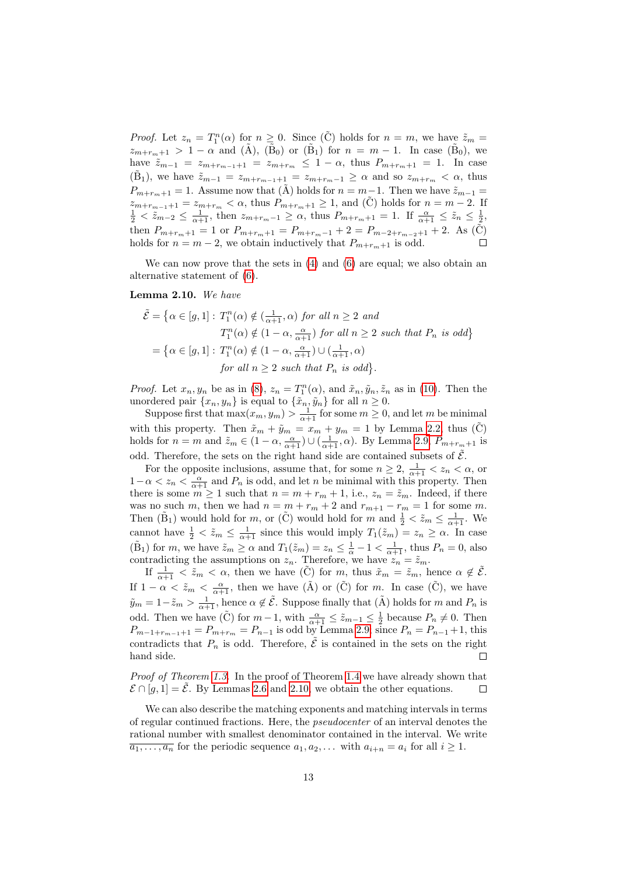*Proof.* Let  $z_n = T_1^n(\alpha)$  for  $n \geq 0$ . Since  $(\tilde{C})$  holds for  $n = m$ , we have  $\tilde{z}_m =$  $z_{m+r_m+1} > 1 - \alpha$  and  $(\tilde{A})$ ,  $(\tilde{B}_0)$  or  $(\tilde{B}_1)$  for  $n = m - 1$ . In case  $(\tilde{B}_0)$ , we have  $\tilde{z}_{m-1} = z_{m+r_{m-1}+1} = z_{m+r_m} \leq 1 - \alpha$ , thus  $P_{m+r_m+1} = 1$ . In case  $(\tilde{B}_1)$ , we have  $\tilde{z}_{m-1} = z_{m+r_{m-1}+1} = z_{m+r_m-1} \ge \alpha$  and so  $z_{m+r_m} < \alpha$ , thus  $P_{m+r_m+1} = 1$ . Assume now that  $(A)$  holds for  $n = m-1$ . Then we have  $\tilde{z}_{m-1} =$  $z_{m+r_{m-1}+1} = z_{m+r_m} < \alpha$ , thus  $P_{m+r_m+1} \ge 1$ , and (C) holds for  $n = m - 2$ . If  $\frac{1}{2} < \tilde{z}_{m-2} \le \frac{1}{\alpha+1}$ , then  $z_{m+r_m-1} \ge \alpha$ , thus  $P_{m+r_m+1} = 1$ . If  $\frac{\alpha}{\alpha+1} \le \tilde{z}_n \le \frac{1}{2}$ , then  $P_{m+r_m+1} = 1$  or  $P_{m+r_m+1} = P_{m+r_m-1} + 2 = P_{m-2+r_{m-2}+1} + 2$ . As (C) holds for  $n = m-2$ , we obtain inductively that  $P_{m+r_m+1}$  is odd. holds for  $n = m - 2$ , we obtain inductively that  $P_{m+r_m+1}$  is odd.

We can now prove that the sets in  $(4)$  and  $(6)$  are equal; we also obtain an alternative statement of [\(6\)](#page-4-6).

#### <span id="page-12-0"></span>Lemma 2.10. We have

$$
\tilde{\mathcal{E}} = \left\{ \alpha \in [g, 1] : T_1^n(\alpha) \notin \left( \frac{1}{\alpha + 1}, \alpha \right) \text{ for all } n \ge 2 \text{ and } T_1^n(\alpha) \notin \left( 1 - \alpha, \frac{\alpha}{\alpha + 1} \right) \text{ for all } n \ge 2 \text{ such that } P_n \text{ is odd} \right\}
$$

$$
= \left\{ \alpha \in [g, 1] : T_1^n(\alpha) \notin \left( 1 - \alpha, \frac{\alpha}{\alpha + 1} \right) \cup \left( \frac{1}{\alpha + 1}, \alpha \right) \text{ for all } n \ge 2 \text{ such that } P_n \text{ is odd} \right\}.
$$

*Proof.* Let  $x_n, y_n$  be as in [\(8\)](#page-7-3),  $z_n = T_1^n(\alpha)$ , and  $\tilde{x}_n, \tilde{y}_n, \tilde{z}_n$  as in [\(10\)](#page-11-0). Then the unordered pair  $\{x_n, y_n\}$  is equal to  $\{\tilde{x}_n, \tilde{y}_n\}$  for all  $n \geq 0$ .

Suppose first that  $\max(x_m, y_m) > \frac{1}{\alpha+1}$  for some  $m \geq 0$ , and let m be minimal with this property. Then  $\tilde{x}_m + \tilde{y}_m = x_m + y_m = 1$  by Lemma [2.2,](#page-7-0) thus  $(\tilde{C})$ holds for  $n = m$  and  $\tilde{z}_m \in (1 - \alpha, \frac{\alpha}{\alpha + 1}) \cup (\frac{1}{\alpha + 1}, \alpha)$ . By Lemma [2.9,](#page-11-1)  $P_{m+r_m+1}$  is odd. Therefore, the sets on the right hand side are contained subsets of  $\mathcal{E}$ .

For the opposite inclusions, assume that, for some  $n \geq 2$ ,  $\frac{1}{\alpha+1} < z_n < \alpha$ , or  $1-\alpha < z_n < \frac{\alpha}{\alpha+1}$  and  $P_n$  is odd, and let n be minimal with this property. Then there is some  $m \ge 1$  such that  $n = m + r_m + 1$ , i.e.,  $z_n = \tilde{z}_m$ . Indeed, if there was no such m, then we had  $n = m + r_m + 2$  and  $r_{m+1} - r_m = 1$  for some m. Then  $(\tilde{B}_1)$  would hold for  $m$ , or  $(\tilde{C})$  would hold for  $m$  and  $\frac{1}{2} < \tilde{z}_m \leq \frac{1}{\alpha+1}$ . We cannot have  $\frac{1}{2} < \tilde{z}_m \leq \frac{1}{\alpha+1}$  since this would imply  $T_1(\tilde{z}_m) = z_n \geq \alpha$ . In case  $(\tilde{B}_1)$  for m, we have  $\tilde{z}_m \ge \alpha$  and  $T_1(\tilde{z}_m) = z_n \le \frac{1}{\alpha} - 1 < \frac{1}{\alpha+1}$ , thus  $P_n = 0$ , also contradicting the assumptions on  $z_n$ . Therefore, we have  $z_n = \tilde{z}_m$ .

If  $\frac{1}{\alpha+1} < \tilde{z}_m < \alpha$ , then we have  $(\tilde{C})$  for  $m$ , thus  $\tilde{x}_m = \tilde{z}_m$ , hence  $\alpha \notin \tilde{\mathcal{E}}$ . If  $1 - \alpha < \tilde{z}_m < \frac{\alpha}{\alpha + 1}$ , then we have  $(\tilde{A})$  or  $(\tilde{C})$  for *m*. In case  $(\tilde{C})$ , we have  $\tilde{y}_m = 1 - \tilde{z}_m > \frac{1}{\alpha+1}$ , hence  $\alpha \notin \tilde{\mathcal{E}}$ . Suppose finally that  $(\tilde{A})$  holds for m and  $P_n$  is odd. Then we have  $(\tilde{C})$  for  $m-1$ , with  $\frac{\alpha}{\alpha+1} \leq \tilde{z}_{m-1} \leq \frac{1}{2}$  because  $P_n \neq 0$ . Then  $P_{m-1+r_{m-1}+1} = P_{m+r_m} = P_{n-1}$  is odd by Lemma [2.9;](#page-11-1) since  $P_n = P_{n-1} + 1$ , this contradicts that  $P_n$  is odd. Therefore,  $\tilde{\mathcal{E}}$  is contained in the sets on the right hand side. Г

Proof of Theorem [1.3.](#page-4-0) In the proof of Theorem [1.4](#page-4-1) we have already shown that  $\mathcal{E} \cap [q, 1] = \tilde{\mathcal{E}}$ . By Lemmas [2.6](#page-9-4) and [2.10,](#page-12-0) we obtain the other equations.  $\Box$ 

We can also describe the matching exponents and matching intervals in terms of regular continued fractions. Here, the pseudocenter of an interval denotes the rational number with smallest denominator contained in the interval. We write  $\overline{a_1, \ldots, a_n}$  for the periodic sequence  $a_1, a_2, \ldots$  with  $a_{i+n} = a_i$  for all  $i \geq 1$ .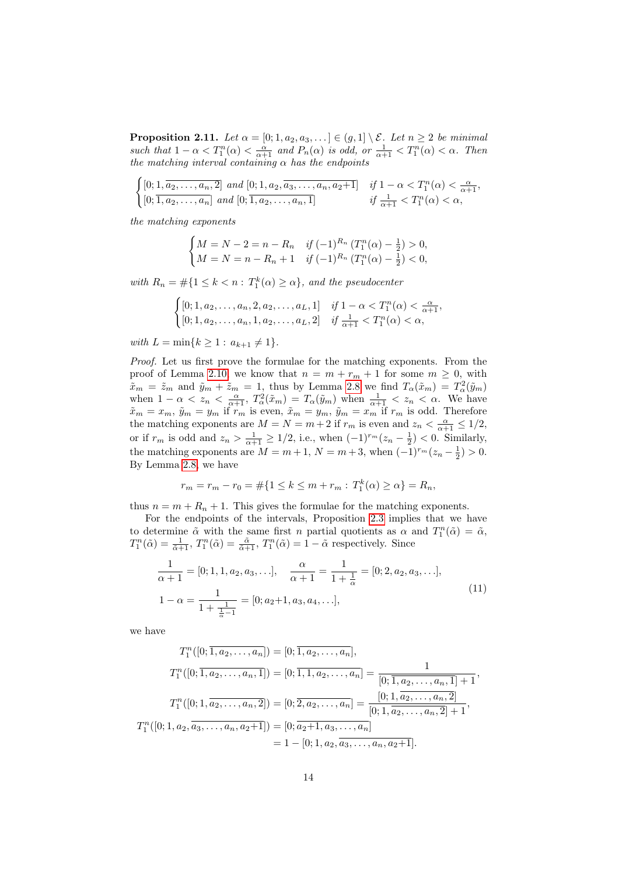**Proposition 2.11.** Let  $\alpha = [0; 1, a_2, a_3, \ldots] \in (g, 1] \setminus \mathcal{E}$ . Let  $n \geq 2$  be minimal such that  $1 - \alpha < T_1^n(\alpha) < \frac{\alpha}{\alpha + 1}$  and  $P_n(\alpha)$  is odd, or  $\frac{1}{\alpha + 1} < T_1^n(\alpha) < \alpha$ . Then the matching interval containing  $\alpha$  has the endpoints

 $\int [0; 1, a_2, \ldots, a_n, 2] \text{ and } [0; 1, a_2, a_3, \ldots, a_n, a_2+1] \text{ if } 1 - \alpha < T_1^n(\alpha) < \frac{\alpha}{\alpha+1},$  $[0; \overline{1, a_2, \ldots, a_n}]$  and  $[0; \overline{1, a_2, \ldots, a_n, 1}]$  if  $\frac{1}{\alpha+1} < T_1^n(\alpha) < \alpha$ ,

the matching exponents

$$
\begin{cases} M = N - 2 = n - R_n & \text{if } (-1)^{R_n} \left( T_1^n(\alpha) - \frac{1}{2} \right) > 0, \\ M = N = n - R_n + 1 & \text{if } (-1)^{R_n} \left( T_1^n(\alpha) - \frac{1}{2} \right) < 0, \end{cases}
$$

with  $R_n = \#\{1 \leq k < n : T_1^k(\alpha) \geq \alpha\}$ , and the pseudocenter

$$
\begin{cases} [0; 1, a_2, \dots, a_n, 2, a_2, \dots, a_L, 1] & \text{if } 1 - \alpha < T_1^n(\alpha) < \frac{\alpha}{\alpha + 1}, \\ [0; 1, a_2, \dots, a_n, 1, a_2, \dots, a_L, 2] & \text{if } \frac{1}{\alpha + 1} < T_1^n(\alpha) < \alpha, \end{cases}
$$

with  $L = \min\{k \geq 1 : a_{k+1} \neq 1\}.$ 

Proof. Let us first prove the formulae for the matching exponents. From the proof of Lemma [2.10,](#page-12-0) we know that  $n = m + r_m + 1$  for some  $m \geq 0$ , with  $\tilde{x}_m = \tilde{z}_m$  and  $\tilde{y}_m + \tilde{z}_m = 1$ , thus by Lemma [2.8](#page-11-2) we find  $T_\alpha(\tilde{x}_m) = T_\alpha^2(\tilde{y}_m)$ when  $1 - \alpha < z_n < \frac{\alpha}{\alpha+1}$ ,  $T_\alpha^2(\tilde{x}_m) = T_\alpha(\tilde{y}_m)$  when  $\frac{1}{\alpha+1} < z_n < \alpha$ . We have  $\tilde{x}_m = x_m$ ,  $\tilde{y}_m = y_m$  if  $r_m$  is even,  $\tilde{x}_m = y_m$ ,  $\tilde{y}_m = x_m$  if  $r_m$  is odd. Therefore the matching exponents are  $M = N = m + 2$  if  $r_m$  is even and  $z_n < \frac{\alpha}{\alpha + 1} \leq 1/2$ , or if  $r_m$  is odd and  $z_n > \frac{1}{\alpha+1} \ge 1/2$ , i.e., when  $(-1)^{r_m}(z_n - \frac{1}{2}) < 0$ . Similarly, the matching exponents are  $M = m + 1$ ,  $N = m + 3$ , when  $(-1)^{r_m}(z_n - \frac{1}{2}) > 0$ . By Lemma [2.8,](#page-11-2) we have

$$
r_m = r_m - r_0 = \# \{ 1 \le k \le m + r_m : T_1^k(\alpha) \ge \alpha \} = R_n,
$$

thus  $n = m + R_n + 1$ . This gives the formulae for the matching exponents.

For the endpoints of the intervals, Proposition [2.3](#page-8-0) implies that we have to determine  $\tilde{\alpha}$  with the same first n partial quotients as  $\alpha$  and  $T_1^n(\tilde{\alpha}) = \tilde{\alpha}$ ,  $T_1^n(\tilde{\alpha}) = \frac{1}{\tilde{\alpha}+1}$ ,  $T_1^n(\tilde{\alpha}) = \frac{\tilde{\alpha}}{\tilde{\alpha}+1}$ ,  $T_1^n(\tilde{\alpha}) = 1 - \tilde{\alpha}$  respectively. Since

<span id="page-13-0"></span>
$$
\frac{1}{\alpha+1} = [0; 1, 1, a_2, a_3, \ldots], \quad \frac{\alpha}{\alpha+1} = \frac{1}{1+\frac{1}{\alpha}} = [0; 2, a_2, a_3, \ldots],
$$
  

$$
1 - \alpha = \frac{1}{1+\frac{1}{\frac{1}{\alpha}-1}} = [0; a_2+1, a_3, a_4, \ldots],
$$
 (11)

we have

$$
T_1^n([0; \overline{1, a_2, \ldots, a_n}]) = [0; \overline{1, a_2, \ldots, a_n}],
$$
  
\n
$$
T_1^n([0; \overline{1, a_2, \ldots, a_n, 1}]) = [0; \overline{1, 1, a_2, \ldots, a_n}] = \frac{1}{[0; \overline{1, a_2, \ldots, a_n, 1}] + 1},
$$
  
\n
$$
T_1^n([0; 1, \overline{a_2, \ldots, a_n, 2}]) = [0; \overline{2, a_2, \ldots, a_n}] = \frac{[0; 1, \overline{a_2, \ldots, a_n, 2}]}{[0; 1, \overline{a_2, \ldots, a_n, 2}] + 1},
$$
  
\n
$$
T_1^n([0; 1, a_2, \overline{a_3, \ldots, a_n, a_2 + 1}]) = [0; \overline{a_2 + 1, a_3, \ldots, a_n}]
$$
  
\n
$$
= 1 - [0; 1, a_2, \overline{a_3, \ldots, a_n, a_2 + 1}].
$$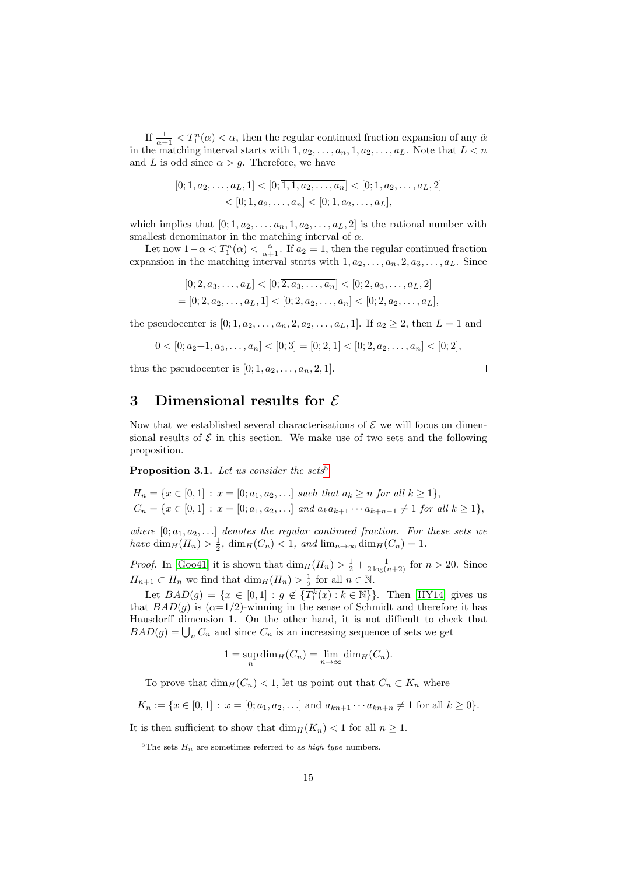If  $\frac{1}{\alpha+1} < T_1^n(\alpha) < \alpha$ , then the regular continued fraction expansion of any  $\tilde{\alpha}$ in the matching interval starts with  $1, a_2, \ldots, a_n, 1, a_2, \ldots, a_L$ . Note that  $L < n$ and L is odd since  $\alpha > g$ . Therefore, we have

$$
[0; 1, a_2, \dots, a_L, 1] < [0; \overline{1, 1, a_2, \dots, a_n}] < [0; 1, a_2, \dots, a_L, 2] \\
&< [0; \overline{1, a_2, \dots, a_n}] < [0; 1, a_2, \dots, a_L],
$$

which implies that  $[0; 1, a_2, \ldots, a_n, 1, a_2, \ldots, a_L, 2]$  is the rational number with smallest denominator in the matching interval of  $\alpha.$ 

Let now  $1-\alpha < T_1^n(\alpha) < \frac{\alpha}{\alpha+1}$ . If  $a_2 = 1$ , then the regular continued fraction expansion in the matching interval starts with  $1, a_2, \ldots, a_n, 2, a_3, \ldots, a_L$ . Since

$$
[0; 2, a_3, \dots, a_L] < [0; \overline{2, a_3, \dots, a_n}] < [0; 2, a_3, \dots, a_L, 2] \\
= [0; 2, a_2, \dots, a_L, 1] < [0; \overline{2, a_2, \dots, a_n}] < [0; 2, a_2, \dots, a_L],
$$

the pseudocenter is  $[0; 1, a_2, \ldots, a_n, 2, a_2, \ldots, a_L, 1]$ . If  $a_2 \geq 2$ , then  $L = 1$  and

$$
0 < [0; \overline{a_2+1, a_3, \ldots, a_n}] < [0; 3] = [0; 2, 1] < [0; \overline{2, a_2, \ldots, a_n}] < [0; 2],
$$

thus the pseudocenter is  $[0; 1, a_2, \ldots, a_n, 2, 1]$ .

$$
\Box
$$

## <span id="page-14-0"></span>3 Dimensional results for  $\mathcal E$

Now that we established several characterisations of  $\mathcal E$  we will focus on dimensional results of  $\mathcal E$  in this section. We make use of two sets and the following proposition.

<span id="page-14-2"></span>**Proposition 3.1.** Let us consider the sets<sup>[5](#page-14-1)</sup>

$$
H_n = \{x \in [0, 1] : x = [0; a_1, a_2, \ldots] \text{ such that } a_k \ge n \text{ for all } k \ge 1\},\
$$
  

$$
C_n = \{x \in [0, 1] : x = [0; a_1, a_2, \ldots] \text{ and } a_k a_{k+1} \cdots a_{k+n-1} \ne 1 \text{ for all } k \ge 1\},
$$

where  $[0; a_1, a_2, \ldots]$  denotes the regular continued fraction. For these sets we have  $\dim_H(H_n) > \frac{1}{2}$ ,  $\dim_H(C_n) < 1$ , and  $\lim_{n \to \infty} \dim_H(C_n) = 1$ .

*Proof.* In [\[Goo41\]](#page-18-9) it is shown that  $\dim_H(H_n) > \frac{1}{2} + \frac{1}{2 \log(n+2)}$  for  $n > 20$ . Since  $H_{n+1} \subset H_n$  we find that  $\dim_H(H_n) > \frac{1}{2}$  for all  $n \in \mathbb{N}$ .

Let  $BAD(g) = \{x \in [0,1] : g \notin \overline{\{T_1^k(x) : k \in \mathbb{N}\}}\}.$  Then [\[HY14\]](#page-18-10) gives us that  $BAD(g)$  is  $(\alpha=1/2)$ -winning in the sense of Schmidt and therefore it has Hausdorff dimension 1. On the other hand, it is not difficult to check that  $BAD(g)=\bigcup_{n}C_{n}$  and since  $C_{n}$  is an increasing sequence of sets we get

$$
1 = \sup_{n} \dim_{H}(C_{n}) = \lim_{n \to \infty} \dim_{H}(C_{n}).
$$

To prove that  $\dim_H(C_n) < 1$ , let us point out that  $C_n \subset K_n$  where

 $K_n := \{x \in [0,1] : x = [0;a_1,a_2,\ldots] \text{ and } a_{kn+1} \cdots a_{kn+n} \neq 1 \text{ for all } k \geq 0\}.$ 

It is then sufficient to show that  $\dim_H(K_n) < 1$  for all  $n \geq 1$ .

<span id="page-14-1"></span><sup>&</sup>lt;sup>5</sup>The sets  $H_n$  are sometimes referred to as *high type* numbers.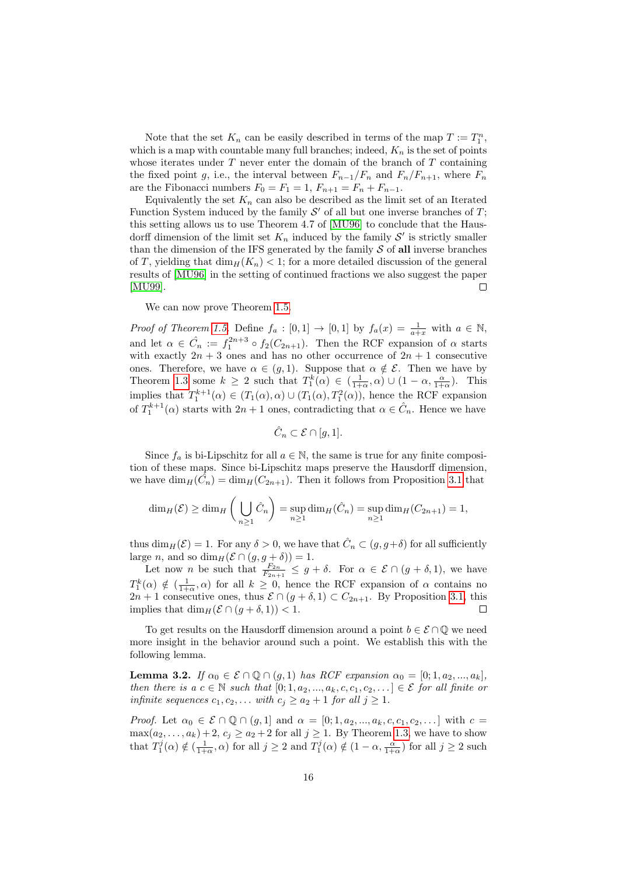Note that the set  $K_n$  can be easily described in terms of the map  $T := T_1^n$ , which is a map with countable many full branches; indeed,  $K_n$  is the set of points whose iterates under  $T$  never enter the domain of the branch of  $T$  containing the fixed point g, i.e., the interval between  $F_{n-1}/F_n$  and  $F_n/F_{n+1}$ , where  $F_n$ are the Fibonacci numbers  $F_0 = F_1 = 1, F_{n+1} = F_n + F_{n-1}$ .

Equivalently the set  $K_n$  can also be described as the limit set of an Iterated Function System induced by the family  $\mathcal{S}'$  of all but one inverse branches of  $T$ ; this setting allows us to use Theorem 4.7 of [\[MU96\]](#page-18-11) to conclude that the Hausdorff dimension of the limit set  $K_n$  induced by the family  $\mathcal{S}'$  is strictly smaller than the dimension of the IFS generated by the family  $\mathcal S$  of all inverse branches of T, yielding that  $\dim_H(K_n) < 1$ ; for a more detailed discussion of the general results of [\[MU96\]](#page-18-11) in the setting of continued fractions we also suggest the paper [\[MU99\]](#page-18-12).  $\Box$ 

We can now prove Theorem [1.5.](#page-4-2)

*Proof of Theorem [1.5.](#page-4-2)* Define  $f_a : [0,1] \rightarrow [0,1]$  by  $f_a(x) = \frac{1}{a+x}$  with  $a \in \mathbb{N}$ , and let  $\alpha \in \hat{C}_n := f_1^{2n+3} \circ f_2(C_{2n+1})$ . Then the RCF expansion of  $\alpha$  starts with exactly  $2n + 3$  ones and has no other occurrence of  $2n + 1$  consecutive ones. Therefore, we have  $\alpha \in (g, 1)$ . Suppose that  $\alpha \notin \mathcal{E}$ . Then we have by Theorem [1.3](#page-4-0) some  $k \geq 2$  such that  $T_1^k(\alpha) \in (\frac{1}{1+\alpha}, \alpha) \cup (1-\alpha, \frac{\alpha}{1+\alpha})$ . This implies that  $T_1^{k+1}(\alpha) \in (T_1(\alpha), \alpha) \cup (T_1(\alpha), T_1^2(\alpha))$ , hence the RCF expansion of  $T_1^{k+1}(\alpha)$  starts with  $2n+1$  ones, contradicting that  $\alpha \in \hat{C}_n$ . Hence we have

$$
\hat{C}_n \subset \mathcal{E} \cap [g,1].
$$

Since  $f_a$  is bi-Lipschitz for all  $a \in \mathbb{N}$ , the same is true for any finite composition of these maps. Since bi-Lipschitz maps preserve the Hausdorff dimension, we have  $\dim_H(\tilde{C}_n) = \dim_H(C_{2n+1})$ . Then it follows from Proposition [3.1](#page-14-2) that

$$
\dim_H(\mathcal{E}) \ge \dim_H\left(\bigcup_{n\ge 1}\hat{C}_n\right) = \sup_{n\ge 1}\dim_H(\hat{C}_n) = \sup_{n\ge 1}\dim_H(C_{2n+1}) = 1,
$$

thus  $\dim_H(\mathcal{E}) = 1$ . For any  $\delta > 0$ , we have that  $\hat{C}_n \subset (g, g + \delta)$  for all sufficiently large *n*, and so  $\dim_H(\mathcal{E} \cap (g, g + \delta)) = 1$ .

Let now *n* be such that  $\frac{F_{2n}}{F_{2n+1}} \leq g + \delta$ . For  $\alpha \in \mathcal{E} \cap (g + \delta, 1)$ , we have  $T_1^k(\alpha) \notin (\frac{1}{1+\alpha}, \alpha)$  for all  $k \geq 0$ , hence the RCF expansion of  $\alpha$  contains no  $2n+1$  consecutive ones, thus  $\mathcal{E} \cap (g+\delta, 1) \subset C_{2n+1}$ . By Proposition [3.1,](#page-14-2) this implies that  $\dim_H(\mathcal{E} \cap (g + \delta, 1)) < 1$ . Г

To get results on the Hausdorff dimension around a point  $b \in \mathcal{E} \cap \mathbb{Q}$  we need more insight in the behavior around such a point. We establish this with the following lemma.

<span id="page-15-0"></span>**Lemma 3.2.** If  $\alpha_0 \in \mathcal{E} \cap \mathbb{Q} \cap (g,1)$  has RCF expansion  $\alpha_0 = [0;1,a_2,...,a_k]$ , then there is a  $c \in \mathbb{N}$  such that  $[0; 1, a_2, ..., a_k, c, c_1, c_2, ...] \in \mathcal{E}$  for all finite or infinite sequences  $c_1, c_2, \ldots$  with  $c_j \geq a_2 + 1$  for all  $j \geq 1$ .

*Proof.* Let  $\alpha_0 \in \mathcal{E} \cap \mathbb{Q} \cap (g,1]$  and  $\alpha = [0;1,a_2,...,a_k,c,c_1,c_2,...]$  with  $c =$  $\max(a_2, \ldots, a_k) + 2, c_j \ge a_2 + 2$  for all  $j \ge 1$ . By Theorem [1.3,](#page-4-0) we have to show that  $T_1^j(\alpha) \notin (\frac{1}{1+\alpha}, \alpha)$  for all  $j \ge 2$  and  $T_1^j(\alpha) \notin (1-\alpha, \frac{\alpha}{1+\alpha})$  for all  $j \ge 2$  such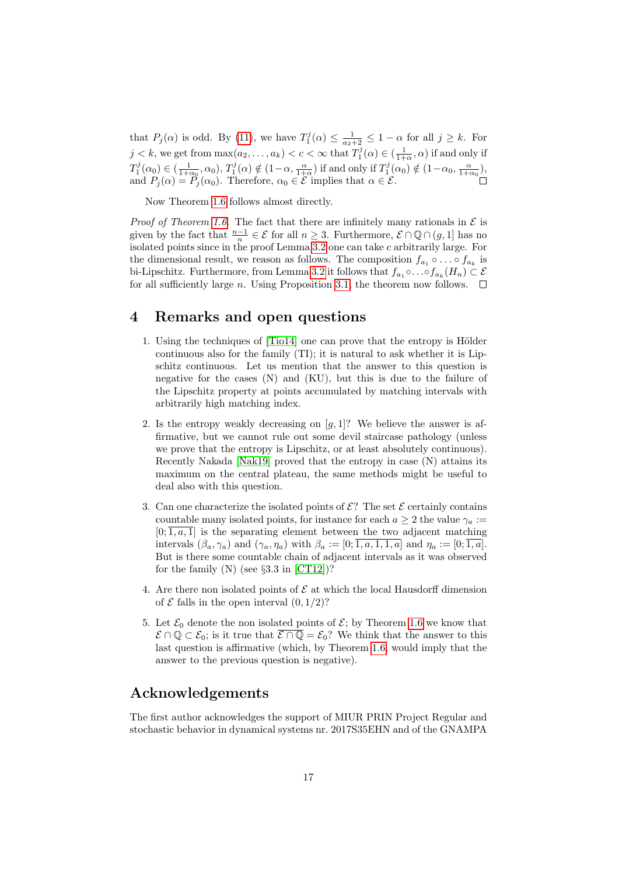that  $P_j(\alpha)$  is odd. By [\(11\)](#page-13-0), we have  $T_1^j(\alpha) \leq \frac{1}{a_2+2} \leq 1-\alpha$  for all  $j \geq k$ . For  $j < k$ , we get from  $\max(a_2, \ldots, a_k) < c < \infty$  that  $T_1^j(\alpha) \in (\frac{1}{1+\alpha}, \alpha)$  if and only if  $T_1^j(\alpha_0) \in \left(\frac{1}{1+\alpha_0},\alpha_0\right), T_1^j(\alpha) \notin \left(1-\alpha,\frac{\alpha}{1+\alpha}\right)$  if and only if  $T_1^j(\alpha_0) \notin \left(1-\alpha_0,\frac{\alpha}{1+\alpha_0}\right)$ , and  $P_j(\alpha) = \tilde{P}_j(\alpha_0)$ . Therefore,  $\alpha_0 \in \mathcal{E}$  implies that  $\alpha \in \mathcal{E}$ .

Now Theorem [1.6](#page-4-3) follows almost directly.

*Proof of Theorem [1.6.](#page-4-3)* The fact that there are infinitely many rationals in  $\mathcal E$  is given by the fact that  $\frac{n-1}{n} \in \mathcal{E}$  for all  $n \geq 3$ . Furthermore,  $\mathcal{E} \cap \mathbb{Q} \cap (g, 1]$  has no isolated points since in the proof Lemma [3.2](#page-15-0) one can take c arbitrarily large. For the dimensional result, we reason as follows. The composition  $f_{a_1} \circ \ldots \circ f_{a_k}$  is bi-Lipschitz. Furthermore, from Lemma [3.2](#page-15-0) it follows that  $f_{a_1} \circ \ldots \circ f_{a_k}(H_n) \subset \mathcal{E}$ for all sufficiently large n. Using Proposition [3.1,](#page-14-2) the theorem now follows.  $\Box$ 

### 4 Remarks and open questions

- 1. Using the techniques of  $[Tio14]$  one can prove that the entropy is Hölder continuous also for the family (TI); it is natural to ask whether it is Lipschitz continuous. Let us mention that the answer to this question is negative for the cases (N) and (KU), but this is due to the failure of the Lipschitz property at points accumulated by matching intervals with arbitrarily high matching index.
- 2. Is the entropy weakly decreasing on  $[g, 1]$ ? We believe the answer is affirmative, but we cannot rule out some devil staircase pathology (unless we prove that the entropy is Lipschitz, or at least absolutely continuous). Recently Nakada [\[Nak19\]](#page-18-13) proved that the entropy in case (N) attains its maximum on the central plateau, the same methods might be useful to deal also with this question.
- 3. Can one characterize the isolated points of  $\mathcal{E}$ ? The set  $\mathcal{E}$  certainly contains countable many isolated points, for instance for each  $a \geq 2$  the value  $\gamma_a :=$  $[0;\overline{1,a},\overline{1}]$  is the separating element between the two adjacent matching intervals  $(\beta_a, \gamma_a)$  and  $(\gamma_a, \eta_a)$  with  $\beta_a := [0; \overline{1, a, 1, 1, a}]$  and  $\eta_a := [0; \overline{1, a}]$ . But is there some countable chain of adjacent intervals as it was observed for the family  $(N)$  (see §3.3 in [\[CT12\]](#page-17-1))?
- 4. Are there non isolated points of  $\mathcal E$  at which the local Hausdorff dimension of  $\mathcal E$  falls in the open interval  $(0, 1/2)$ ?
- 5. Let  $\mathcal{E}_0$  denote the non isolated points of  $\mathcal{E}$ ; by Theorem [1.6](#page-4-3) we know that  $\mathcal{E} \cap \mathbb{Q} \subset \mathcal{E}_0$ ; is it true that  $\mathcal{E} \cap \mathbb{Q} = \mathcal{E}_0$ ? We think that the answer to this last question is affirmative (which, by Theorem [1.6,](#page-4-3) would imply that the answer to the previous question is negative).

## Acknowledgements

The first author acknowledges the support of MIUR PRIN Project Regular and stochastic behavior in dynamical systems nr. 2017S35EHN and of the GNAMPA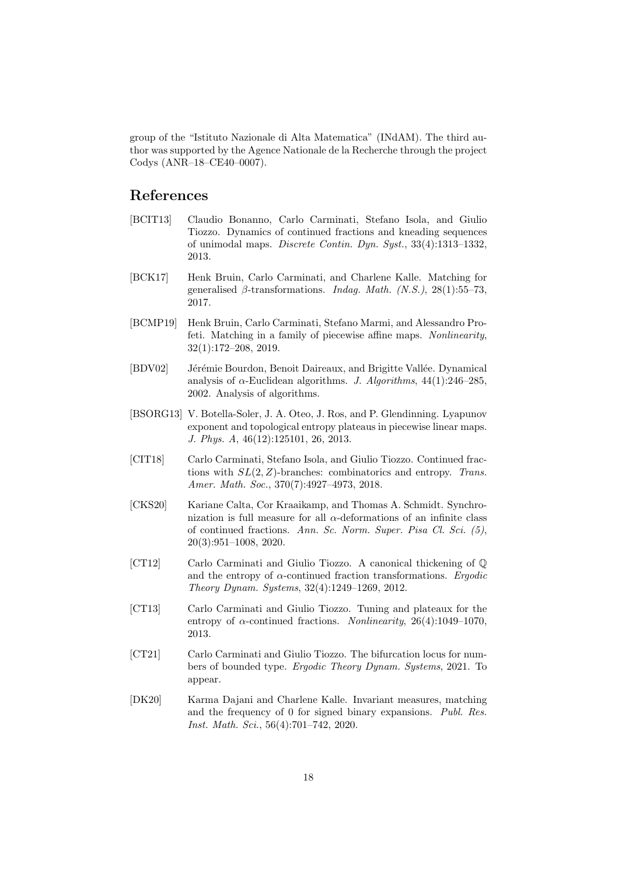group of the "Istituto Nazionale di Alta Matematica" (INdAM). The third author was supported by the Agence Nationale de la Recherche through the project Codys (ANR–18–CE40–0007).

### References

- <span id="page-17-4"></span>[BCIT13] Claudio Bonanno, Carlo Carminati, Stefano Isola, and Giulio Tiozzo. Dynamics of continued fractions and kneading sequences of unimodal maps. Discrete Contin. Dyn. Syst., 33(4):1313–1332, 2013.
- <span id="page-17-9"></span>[BCK17] Henk Bruin, Carlo Carminati, and Charlene Kalle. Matching for generalised  $\beta$ -transformations. *Indag. Math.* (N.S.), 28(1):55–73, 2017.
- <span id="page-17-8"></span>[BCMP19] Henk Bruin, Carlo Carminati, Stefano Marmi, and Alessandro Profeti. Matching in a family of piecewise affine maps. Nonlinearity, 32(1):172–208, 2019.
- <span id="page-17-0"></span>[BDV02] Jérémie Bourdon, Benoit Daireaux, and Brigitte Vallée. Dynamical analysis of  $\alpha$ -Euclidean algorithms. J. Algorithms, 44(1):246–285, 2002. Analysis of algorithms.
- <span id="page-17-7"></span>[BSORG13] V. Botella-Soler, J. A. Oteo, J. Ros, and P. Glendinning. Lyapunov exponent and topological entropy plateaus in piecewise linear maps. J. Phys. A, 46(12):125101, 26, 2013.
- <span id="page-17-3"></span>[CIT18] Carlo Carminati, Stefano Isola, and Giulio Tiozzo. Continued fractions with  $SL(2, Z)$ -branches: combinatorics and entropy. Trans. Amer. Math. Soc., 370(7):4927–4973, 2018.
- <span id="page-17-6"></span>[CKS20] Kariane Calta, Cor Kraaikamp, and Thomas A. Schmidt. Synchronization is full measure for all  $\alpha$ -deformations of an infinite class of continued fractions. Ann. Sc. Norm. Super. Pisa Cl. Sci. (5), 20(3):951–1008, 2020.
- <span id="page-17-1"></span>[CT12] Carlo Carminati and Giulio Tiozzo. A canonical thickening of Q and the entropy of  $\alpha$ -continued fraction transformations. Ergodic Theory Dynam. Systems, 32(4):1249–1269, 2012.
- <span id="page-17-2"></span>[CT13] Carlo Carminati and Giulio Tiozzo. Tuning and plateaux for the entropy of  $\alpha$ -continued fractions. *Nonlinearity*, 26(4):1049–1070, 2013.
- <span id="page-17-5"></span>[CT21] Carlo Carminati and Giulio Tiozzo. The bifurcation locus for numbers of bounded type. Ergodic Theory Dynam. Systems, 2021. To appear.
- <span id="page-17-10"></span>[DK20] Karma Dajani and Charlene Kalle. Invariant measures, matching and the frequency of 0 for signed binary expansions. Publ. Res. Inst. Math. Sci., 56(4):701–742, 2020.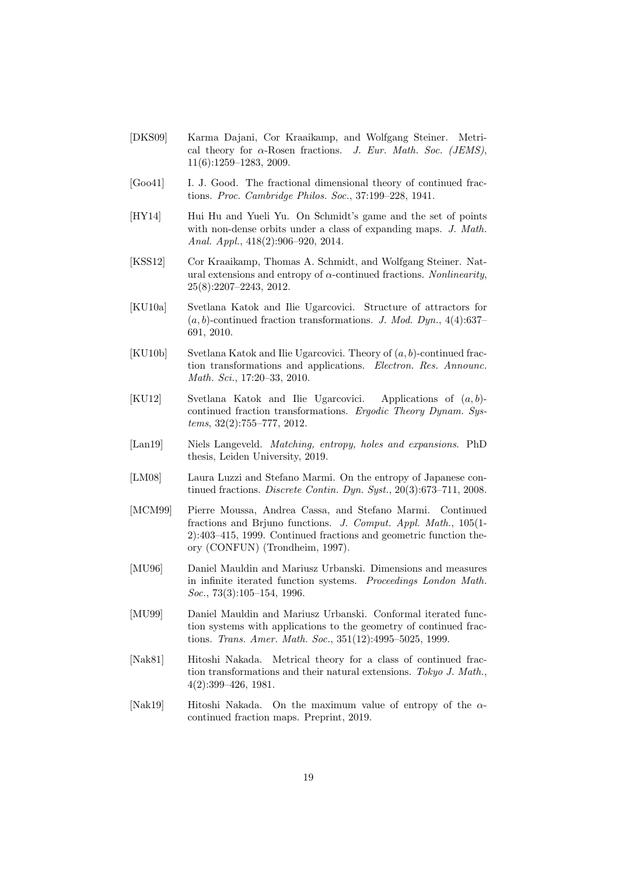- <span id="page-18-8"></span>[DKS09] Karma Dajani, Cor Kraaikamp, and Wolfgang Steiner. Metrical theory for  $\alpha$ -Rosen fractions. J. Eur. Math. Soc. (JEMS), 11(6):1259–1283, 2009.
- <span id="page-18-9"></span>[Goo41] I. J. Good. The fractional dimensional theory of continued fractions. Proc. Cambridge Philos. Soc., 37:199–228, 1941.
- <span id="page-18-10"></span>[HY14] Hui Hu and Yueli Yu. On Schmidt's game and the set of points with non-dense orbits under a class of expanding maps. J. Math. Anal. Appl., 418(2):906–920, 2014.
- <span id="page-18-5"></span>[KSS12] Cor Kraaikamp, Thomas A. Schmidt, and Wolfgang Steiner. Natural extensions and entropy of  $\alpha$ -continued fractions. Nonlinearity, 25(8):2207–2243, 2012.
- <span id="page-18-2"></span>[KU10a] Svetlana Katok and Ilie Ugarcovici. Structure of attractors for  $(a, b)$ -continued fraction transformations. J. Mod. Dyn., 4(4):637– 691, 2010.
- <span id="page-18-3"></span> $[KU10b]$  Svetlana Katok and Ilie Ugarcovici. Theory of  $(a, b)$ -continued fraction transformations and applications. Electron. Res. Announc. Math. Sci., 17:20–33, 2010.
- <span id="page-18-6"></span>[KU12] Svetlana Katok and Ilie Ugarcovici. Applications of  $(a, b)$ continued fraction transformations. Ergodic Theory Dynam. Systems, 32(2):755–777, 2012.
- <span id="page-18-7"></span>[Lan19] Niels Langeveld. Matching, entropy, holes and expansions. PhD thesis, Leiden University, 2019.
- <span id="page-18-0"></span>[LM08] Laura Luzzi and Stefano Marmi. On the entropy of Japanese continued fractions. Discrete Contin. Dyn. Syst., 20(3):673–711, 2008.
- <span id="page-18-4"></span>[MCM99] Pierre Moussa, Andrea Cassa, and Stefano Marmi. Continued fractions and Brjuno functions. J. Comput. Appl. Math., 105(1- 2):403–415, 1999. Continued fractions and geometric function theory (CONFUN) (Trondheim, 1997).
- <span id="page-18-11"></span>[MU96] Daniel Mauldin and Mariusz Urbanski. Dimensions and measures in infinite iterated function systems. Proceedings London Math. Soc., 73(3):105–154, 1996.
- <span id="page-18-12"></span>[MU99] Daniel Mauldin and Mariusz Urbanski. Conformal iterated function systems with applications to the geometry of continued fractions. Trans. Amer. Math. Soc., 351(12):4995–5025, 1999.
- <span id="page-18-1"></span>[Nak81] Hitoshi Nakada. Metrical theory for a class of continued fraction transformations and their natural extensions. Tokyo J. Math., 4(2):399–426, 1981.
- <span id="page-18-13"></span>[Nak19] Hitoshi Nakada. On the maximum value of entropy of the  $\alpha$ continued fraction maps. Preprint, 2019.